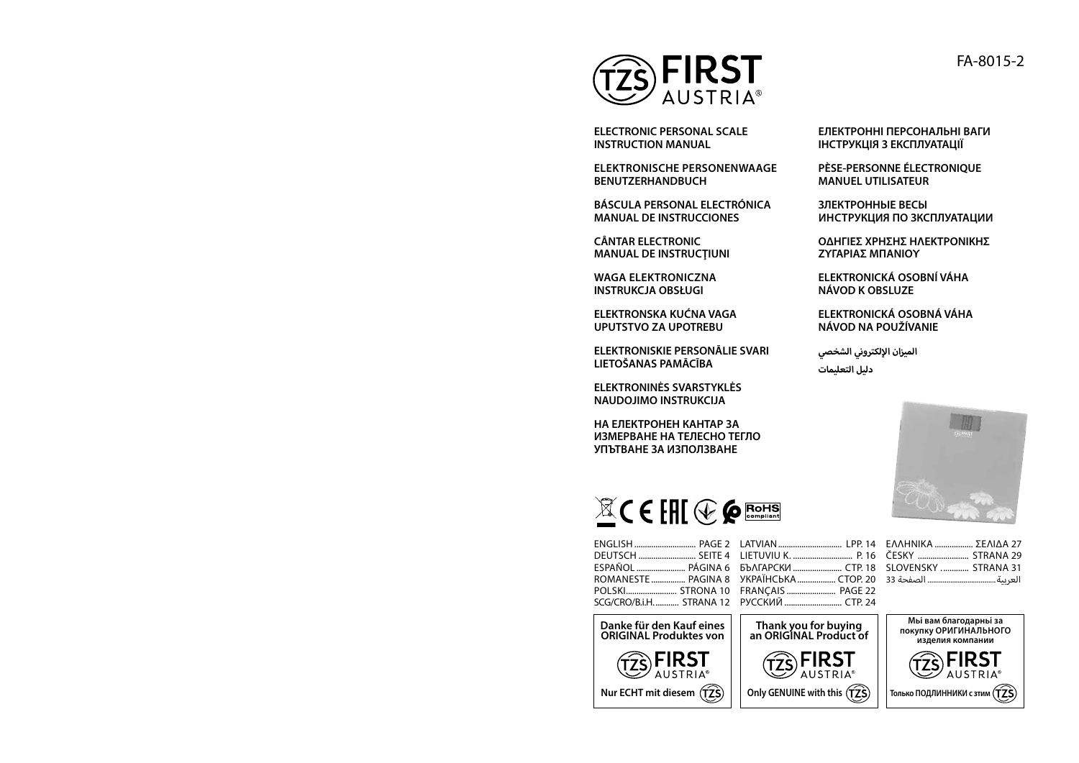

**ELECTRONIC PERSONAL SCALE INSTRUCTION MANUAL** 

**ELEKTRONISCHE PERSONENWAAGE BENUTZERHANDBUCH**

**BÁSCULA PERSONAL ELECTRÓNICA MANUAL DE INSTRUCCIONES**

**CÂNTAR ELECTRONIC MANUAL DE INSTRUCŢIUNI**

**WAGA ELEKTRONICZNA INSTRUKCJA OBSŁUGI**

**ELEKTRONSKA KUĆNA VAGA UPUTSTVO ZA UPOTREBU**

**ELEKTRONISKIE PERSONĀLIE SVARI LIETOŠANAS PAMĀCĪBA**

**ELEKTRONINĖS SVARSTYKLĖS NAUDOJIMO INSTRUKCIJA**

**НА ЕЛЕКТРОНЕН КАНТАР ЗА ИЗМЕРВАНЕ НА ТЕЛЕСНО ТЕГЛО УПЪТВАНЕ ЗА ИЗПОЛЗВАНЕ**

**ЕЛЕКТРОННІ ПЕРСОНАЛЬНІ ВАГИ ІНСТРУКЦІЯ З ЕКСПЛУАТАЦІЇ**

**PÈSE-PERSONNE ÉLECTRONIQUE MANUEL UTILISATEUR**

**ЗЛЕКТРОННЬІЕ ВЕСЫ ИНСТРУКЦИЯ ПО ЗКСПЛУАТАЦИИ**

**ΟΔΗΓΙΕΣ ΧΡΗΣΗΣ ΗΛΕΚΤΡΟΝΙΚΗΣ ΖΥΓΑΡΙΑΣ ΜΠΑΝΙΟΥ**

**ELEKTRONICKÁ OSOBNÍ VÁHA NÁVOD K OBSLUZE**

**ELEKTRONICKÁ OSOBNÁ VÁHA NÁVOD NA POUŽÍVANIE**

**إ الميزان اللكتروني الشخصي دليل التعليمات**



# $\mathbb{Z}$ CEHE  $\circledast$  Proms

ENGLISH ................................. PAGE 2 LATVIAN .................................. LPP. 14 ΕΛΛΗΝΙΚΑ ................... ΣΕΛΙΔΑ 27 DEUTSCH ........................... SEITE 4 LIETUVIU K. ............................ P. 16 ESPAÑOL ......................... PÁGINA 6 БЪЛГАРСКИ ......................... СТР. 18 SLOVENSKY ............. STRANA 31 ROMANESTE ................ PAGINA 8 УКРАЇНСЬКА.................. СТОР. 20 العربية.................................... الصفحة 33 POLSKI........................ STRONA 10 FRANÇAIS ....................... PAGE 22 SCG/CRO/B.i.H. ............ STRANA 12 РУССКИЙ ............................ СТР. 24

**Danke für den Kauf eines ORIGINAL Produktes von**

**Nur ECHT mit diesem**

 $\widehat{77}$ SFIRST

**AUSTRIA** 

**Thank you for buying** 

 $(72)$ FIRST AUSTRIA<sup>®</sup>

ČESKY ........................ STRANA 29



FA-8015-2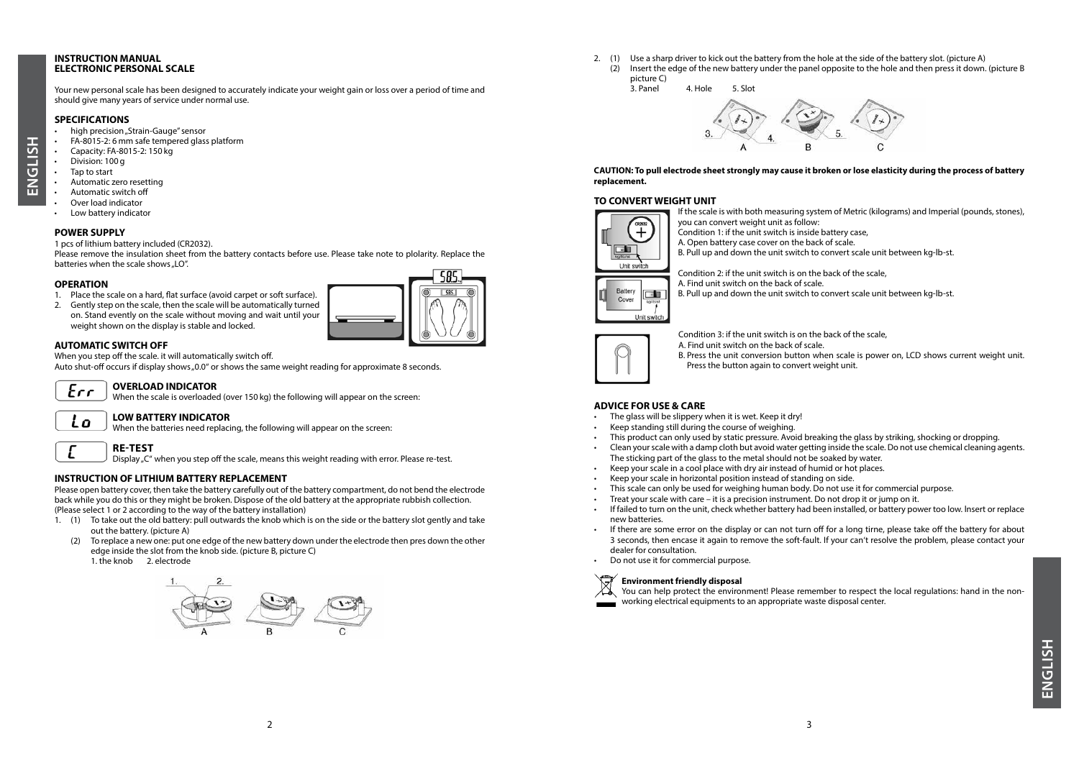#### **INSTRUCTION MANUAL ELECTRONIC PERSONAL SCALE**

Your new personal scale has been designed to accurately indicate your weight gain or loss over a period of time and should give many years of service under normal use.

#### **SPECIFICATIONS**

- high precision "Strain-Gauge" sensor
- FA-8015-2: 6 mm safe tempered glass platform
- Capacity: FA-8015-2: 150 kg
- Division: 100 g

**ENGLISH**

**ENGLISH** 

- Tap to start
- Automatic zero resetting
- Automatic switch off
- Over load indicator
- Low battery indicator

#### **POWER SUPPLY**

1 pcs of lithium battery included (CR2032).

Please remove the insulation sheet from the battery contacts before use. Please take note to plolarity. Replace the batteries when the scale shows ...LO".

#### **OPERATION**

- 1. Place the scale on a hard, flat surface (avoid carpet or soft surface).
- 2. Gently step on the scale, then the scale will be automatically turned on. Stand evently on the scale without moving and wait until your weight shown on the display is stable and locked.



#### **AUTOMATIC SWITCH OFF**

When you step off the scale. it will automatically switch off.

Auto shut-off occurs if display shows "0.0" or shows the same weight reading for approximate 8 seconds.



#### **OVERLOAD INDICATOR**

When the scale is overloaded (over 150 kg) the following will appear on the screen:

#### Lo **LOW BATTERY INDICATOR**

When the batteries need replacing, the following will appear on the screen:

## **RE-TEST**

Display "C" when you step off the scale, means this weight reading with error. Please re-test.

#### **INSTRUCTION OF LITHIUM BATTERY REPLACEMENT**

Please open battery cover, then take the battery carefully out of the battery compartment, do not bend the electrode back while you do this or they might be broken. Dispose of the old battery at the appropriate rubbish collection. (Please select 1 or 2 according to the way of the battery installation)

1. (1) To take out the old battery: pull outwards the knob which is on the side or the battery slot gently and take out the battery. (picture A)

(2) To replace a new one: put one edge of the new battery down under the electrode then pres down the other edge inside the slot from the knob side. (picture B, picture C) 1. the knob 2. electrode



2. (1) Use a sharp driver to kick out the battery from the hole at the side of the battery slot. (picture A) (2) Insert the edge of the new battery under the panel opposite to the hole and then press it down. (picture B picture C)



#### **CAUTION: To pull electrode sheet strongly may cause it broken or lose elasticity during the process of battery replacement.**

#### **TO CONVERT WEIGHT UNIT**



If the scale is with both measuring system of Metric (kilograms) and Imperial (pounds, stones), you can convert weight unit as follow:

- Condition 1: if the unit switch is inside battery case,
- A. Open battery case cover on the back of scale.

B. Pull up and down the unit switch to convert scale unit between kg-lb-st.

Condition 2: if the unit switch is on the back of the scale, A. Find unit switch on the back of scale.

B. Pull up and down the unit switch to convert scale unit between kg-lb-st.



Condition 3: if the unit switch is on the back of the scale,

A. Find unit switch on the back of scale. B. Press the unit conversion button when scale is power on, LCD shows current weight unit.

Press the button again to convert weight unit.

#### **ADVICE FOR USE & CARE**

- The glass will be slippery when it is wet. Keep it dry!
- Keep standing still during the course of weighing.
- This product can only used by static pressure. Avoid breaking the glass by striking, shocking or dropping.
- Clean your scale with a damp cloth but avoid water getting inside the scale. Do not use chemical cleaning agents. The sticking part of the glass to the metal should not be soaked by water.
- Keep your scale in a cool place with dry air instead of humid or hot places.
- Keep your scale in horizontal position instead of standing on side.
- This scale can only be used for weighing human body. Do not use it for commercial purpose.
- Treat your scale with care it is a precision instrument. Do not drop it or jump on it.
- If failed to turn on the unit, check whether battery had been installed, or battery power too low. lnsert or replace new batteries.
- If there are some error on the display or can not turn off for a long tirne, please take off the battery for about 3 seconds, then encase it again to remove the soft-fault. If your can't resolve the problem, please contact your dealer for consultation.
- Do not use it for commercial purpose.

#### **Environment friendly disposal**

You can help protect the environment! Please remember to respect the local regulations: hand in the nonworking electrical equipments to an appropriate waste disposal center.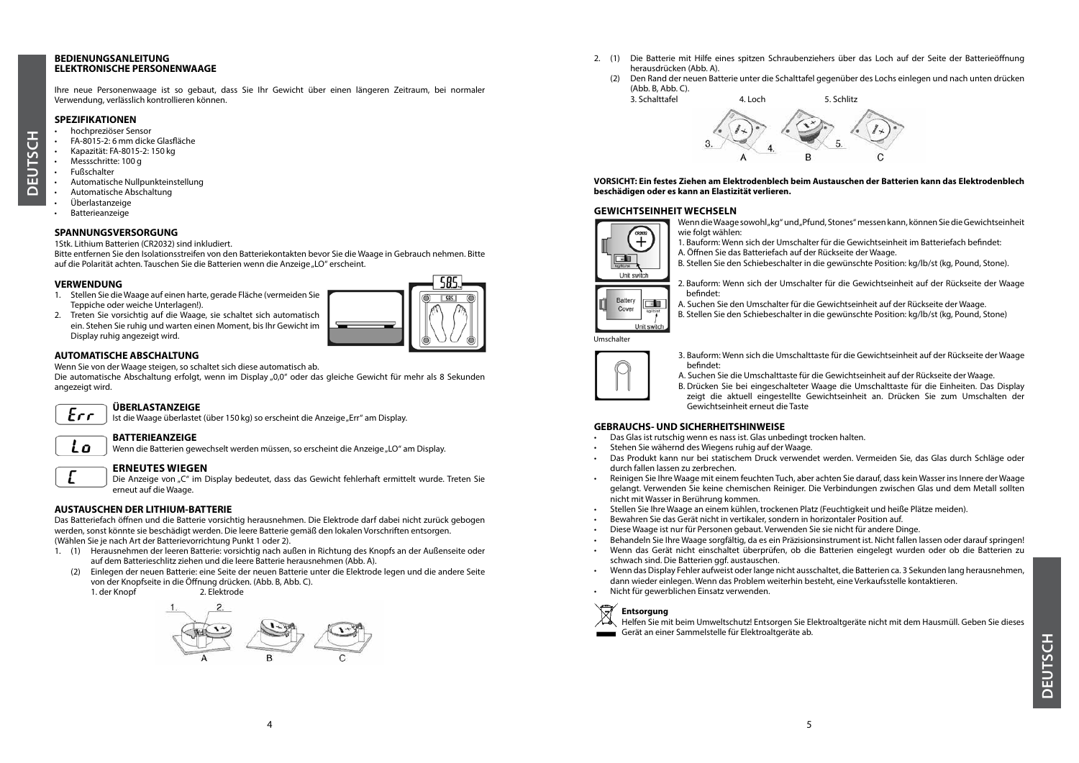#### **BEDIENUNGSANLEITUNG ELEKTRONISCHE PERSONENWAAGE**

Ihre neue Personenwaage ist so gebaut, dass Sie Ihr Gewicht über einen längeren Zeitraum, bei normaler Verwendung, verlässlich kontrollieren können.

#### **SPEZIFIKATIONEN**

- hochpreziöser Sensor
- FA-8015-2: 6 mm dicke Glasfläche
- Kapazität: FA-8015-2: 150 kg
- Messschritte: 100 g
- Fußschalter

**DEUTSCH**

٦.<br>ن জ ËDË ◠

- Automatische Nullpunkteinstellung
- Automatische Abschaltung
- Überlastanzeige
- Batterieanzeige

#### **SPANNUNGSVERSORGUNG**

1Stk. Lithium Batterien (CR2032) sind inkludiert.

Bitte entfernen Sie den Isolationsstreifen von den Batteriekontakten bevor Sie die Waage in Gebrauch nehmen. Bitte auf die Polarität achten. Tauschen Sie die Batterien wenn die Anzeige "LO" erscheint.

#### **VERWENDUNG**

- 1. Stellen Sie die Waage auf einen harte, gerade Fläche (vermeiden Sie Teppiche oder weiche Unterlagen!).
- 2. Treten Sie vorsichtig auf die Waage, sie schaltet sich automatisch ein. Stehen Sie ruhig und warten einen Moment, bis Ihr Gewicht im Display ruhig angezeigt wird.

## **AUTOMATISCHE ABSCHALTUNG**

Wenn Sie von der Waage steigen, so schaltet sich diese automatisch ab.

Die automatische Abschaltung erfolgt, wenn im Display "0,0" oder das gleiche Gewicht für mehr als 8 Sekunden angezeigt wird.

## $Err$

Lo

**ÜBERLASTANZEIGE** Ist die Waage überlastet (über 150 kg) so erscheint die Anzeige "Err" am Display.

#### **BATTERIEANZEIGE**

Wenn die Batterien gewechselt werden müssen, so erscheint die Anzeige "LO" am Display.

## **ERNEUTES WIEGEN**

Die Anzeige von "C" im Display bedeutet, dass das Gewicht fehlerhaft ermittelt wurde. Treten Sie erneut auf die Waage.

#### **AUSTAUSCHEN DER LITHIUM-BATTERIE**

Das Batteriefach öffnen und die Batterie vorsichtig herausnehmen. Die Elektrode darf dabei nicht zurück gebogen werden, sonst könnte sie beschädigt werden. Die leere Batterie gemäß den lokalen Vorschriften entsorgen. (Wählen Sie je nach Art der Batterievorrichtung Punkt 1 oder 2).

- 1. (1) Herausnehmen der leeren Batterie: vorsichtig nach außen in Richtung des Knopfs an der Außenseite oder auf dem Batterieschlitz ziehen und die leere Batterie herausnehmen (Abb. A).
	- (2) Einlegen der neuen Batterie: eine Seite der neuen Batterie unter die Elektrode legen und die andere Seite von der Knopfseite in die Öffnung drücken. (Abb. B, Abb. C).

1. der Knopf



- 2. (1) Die Batterie mit Hilfe eines spitzen Schraubenziehers über das Loch auf der Seite der Batterieöffnung herausdrücken (Abb. A).
	- (2) Den Rand der neuen Batterie unter die Schalttafel gegenüber des Lochs einlegen und nach unten drücken (Abb. B, Abb. C).



#### **VORSICHT: Ein festes Ziehen am Elektrodenblech beim Austauschen der Batterien kann das Elektrodenblech beschädigen oder es kann an Elastizität verlieren.**

#### **GEWICHTSEINHEIT WECHSELN**

Wenn die Waage sowohl, kg" und "Pfund, Stones" messen kann, können Sie die Gewichtseinheit wie folgt wählen:

2. Bauform: Wenn sich der Umschalter für die Gewichtseinheit auf der Rückseite der Waage

- 1. Bauform: Wenn sich der Umschalter für die Gewichtseinheit im Batteriefach befindet: A. Öffnen Sie das Batteriefach auf der Rückseite der Waage.
- B. Stellen Sie den Schiebeschalter in die gewünschte Position: kg/lb/st (kg, Pound, Stone).

A. Suchen Sie den Umschalter für die Gewichtseinheit auf der Rückseite der Waage. B. Stellen Sie den Schiebeschalter in die gewünschte Position: kg/lb/st (kg, Pound, Stone)



 $+$ ना

befindet:

#### Umschalter



3. Bauform: Wenn sich die Umschalttaste für die Gewichtseinheit auf der Rückseite der Waage befindet:

- A. Suchen Sie die Umschalttaste für die Gewichtseinheit auf der Rückseite der Waage.
- B. Drücken Sie bei eingeschalteter Waage die Umschalttaste für die Einheiten. Das Display zeigt die aktuell eingestellte Gewichtseinheit an. Drücken Sie zum Umschalten der Gewichtseinheit erneut die Taste

#### **GEBRAUCHS- UND SICHERHEITSHINWEISE**

- Das Glas ist rutschig wenn es nass ist. Glas unbedingt trocken halten.
- Stehen Sie wähernd des Wiegens ruhig auf der Waage.
- Das Produkt kann nur bei statischem Druck verwendet werden. Vermeiden Sie, das Glas durch Schläge oder durch fallen lassen zu zerbrechen.
- Reinigen Sie Ihre Waage mit einem feuchten Tuch, aber achten Sie darauf, dass kein Wasser ins Innere der Waage gelangt. Verwenden Sie keine chemischen Reiniger. Die Verbindungen zwischen Glas und dem Metall sollten nicht mit Wasser in Berührung kommen.
- Stellen Sie Ihre Waage an einem kühlen, trockenen Platz (Feuchtigkeit und heiße Plätze meiden).
- Bewahren Sie das Gerät nicht in vertikaler, sondern in horizontaler Position auf.
- Diese Waage ist nur für Personen gebaut. Verwenden Sie sie nicht für andere Dinge.
- Behandeln Sie Ihre Waage sorgfältig, da es ein Präzisionsinstrument ist. Nicht fallen lassen oder darauf springen!
- Wenn das Gerät nicht einschaltet überprüfen, ob die Batterien eingelegt wurden oder ob die Batterien zu schwach sind. Die Batterien ggf. austauschen.
- Wenn das Display Fehler aufweist oder lange nicht ausschaltet, die Batterien ca. 3 Sekunden lang herausnehmen, dann wieder einlegen. Wenn das Problem weiterhin besteht, eine Verkaufsstelle kontaktieren.
- Nicht für gewerblichen Einsatz verwenden.



Helfen Sie mit beim Umweltschutz! Entsorgen Sie Elektroaltgeräte nicht mit dem Hausmüll. Geben Sie dieses Gerät an einer Sammelstelle für Elektroaltgeräte ab.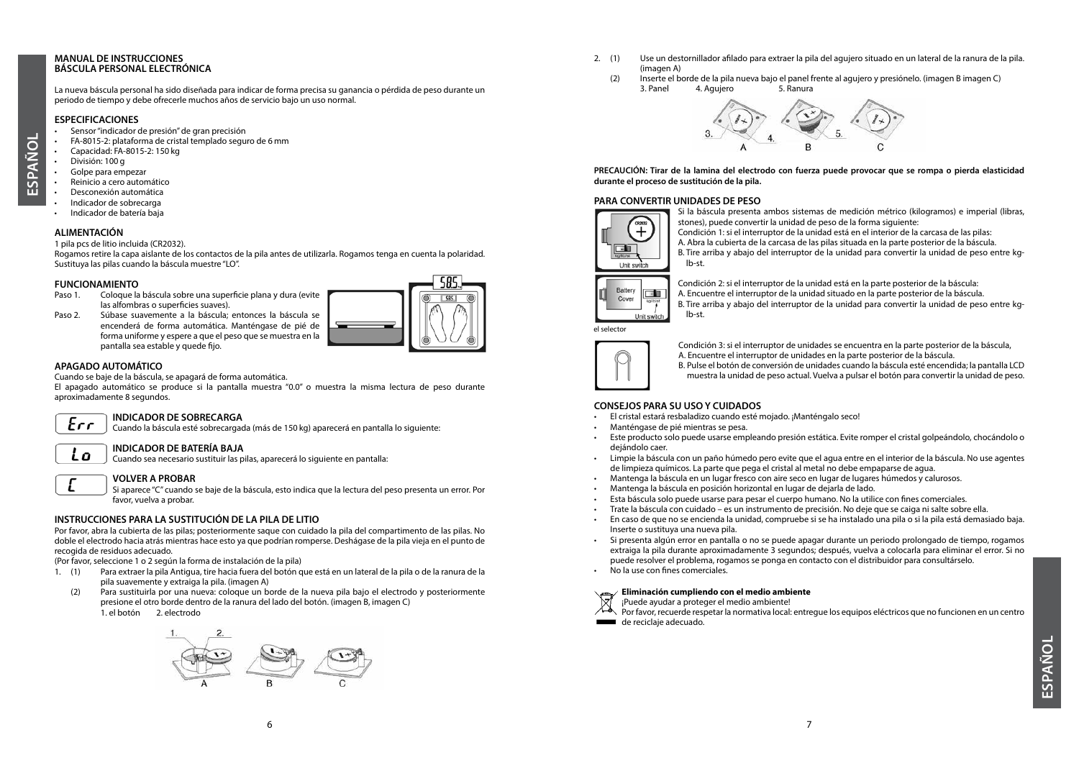#### **MANUAL DE INSTRUCCIONES BÁSCULA PERSONAL ELECTRÓNICA**

La nueva báscula personal ha sido diseñada para indicar de forma precisa su ganancia o pérdida de peso durante un periodo de tiempo y debe ofrecerle muchos años de servicio bajo un uso normal.

#### **ESPECIFICACIONES**

- Sensor "indicador de presión" de gran precisión
- FA-8015-2: plataforma de cristal templado seguro de 6 mm
- Capacidad: FA-8015-2: 150 kg
- División: 100 g

**ESPAÑOL**

- Golpe para empezar
- Reinicio a cero automático • Desconexión automática
- Indicador de sobrecarga
- Indicador de batería baja

#### **ALIMENTACIÓN**

1 pila pcs de litio incluida (CR2032).

Rogamos retire la capa aislante de los contactos de la pila antes de utilizarla. Rogamos tenga en cuenta la polaridad. Sustituya las pilas cuando la báscula muestre "LO".

## **FUNCIONAMIENTO**<br>Paso 1. Cologue la

- Coloque la báscula sobre una superficie plana y dura (evite las alfombras o superficies suaves).
- Paso 2. Súbase suavemente a la báscula; entonces la báscula se encenderá de forma automática. Manténgase de pié de forma uniforme y espere a que el peso que se muestra en la pantalla sea estable y quede fijo.



#### **APAGADO AUTOMÁTICO**

Cuando se baje de la báscula, se apagará de forma automática.

**VOLVER A PROBAR**

El apagado automático se produce si la pantalla muestra "0.0" o muestra la misma lectura de peso durante aproximadamente 8 segundos.

#### **INDICADOR DE SOBRECARGA**  $Err$

Cuando la báscula esté sobrecargada (más de 150 kg) aparecerá en pantalla lo siguiente:

## Lο

**INDICADOR DE BATERÍA BAJA** Cuando sea necesario sustituir las pilas, aparecerá lo siguiente en pantalla:

Si aparece "C" cuando se baje de la báscula, esto indica que la lectura del peso presenta un error. Por favor, vuelva a probar.

#### **INSTRUCCIONES PARA LA SUSTITUCIÓN DE LA PILA DE LITIO**

Por favor, abra la cubierta de las pilas; posteriormente saque con cuidado la pila del compartimento de las pilas. No doble el electrodo hacia atrás mientras hace esto ya que podrían romperse. Deshágase de la pila vieja en el punto de recogida de residuos adecuado.

(Por favor, seleccione 1 o 2 según la forma de instalación de la pila)

- 1. (1) Para extraer la pila Antigua, tire hacia fuera del botón que está en un lateral de la pila o de la ranura de la pila suavemente y extraiga la pila. (imagen A)
	- (2) Para sustituirla por una nueva: coloque un borde de la nueva pila bajo el electrodo y posteriormente presione el otro borde dentro de la ranura del lado del botón. (imagen B, imagen C) 1. el botón 2. electrodo



- 2. (1) Use un destornillador afilado para extraer la pila del agujero situado en un lateral de la ranura de la pila. (imagen A)
	- (2) Inserte el borde de la pila nueva bajo el panel frente al agujero y presiónelo. (imagen B imagen C) 3. Panel 4. Agujero 5. Ranura



**PRECAUCIÓN: Tirar de la lamina del electrodo con fuerza puede provocar que se rompa o pierda elasticidad durante el proceso de sustitución de la pila.**

#### **PARA CONVERTIR UNIDADES DE PESO**



Si la báscula presenta ambos sistemas de medición métrico (kilogramos) e imperial (libras, stones), puede convertir la unidad de peso de la forma siguiente:

Condición 1: si el interruptor de la unidad está en el interior de la carcasa de las pilas:

A. Abra la cubierta de la carcasa de las pilas situada en la parte posterior de la báscula. B. Tire arriba y abajo del interruptor de la unidad para convertir la unidad de peso entre kg-

lb-st.



Condición 2: si el interruptor de la unidad está en la parte posterior de la báscula: A. Encuentre el interruptor de la unidad situado en la parte posterior de la báscula. B. Tire arriba y abajo del interruptor de la unidad para convertir la unidad de peso entre kglb-st.



el selector

Condición 3: si el interruptor de unidades se encuentra en la parte posterior de la báscula, A. Encuentre el interruptor de unidades en la parte posterior de la báscula. B. Pulse el botón de conversión de unidades cuando la báscula esté encendida; la pantalla LCD muestra la unidad de peso actual. Vuelva a pulsar el botón para convertir la unidad de peso.

#### **CONSEJOS PARA SU USO Y CUIDADOS**

- El cristal estará resbaladizo cuando esté mojado. ¡Manténgalo seco!
- Manténgase de pié mientras se pesa.
- Este producto solo puede usarse empleando presión estática. Evite romper el cristal golpeándolo, chocándolo o dejándolo caer.
- Limpie la báscula con un paño húmedo pero evite que el agua entre en el interior de la báscula. No use agentes de limpieza químicos. La parte que pega el cristal al metal no debe empaparse de agua.
- Mantenga la báscula en un lugar fresco con aire seco en lugar de lugares húmedos y calurosos.
- Mantenga la báscula en posición horizontal en lugar de dejarla de lado.
- Esta báscula solo puede usarse para pesar el cuerpo humano. No la utilice con fines comerciales.
- Trate la báscula con cuidado es un instrumento de precisión. No deje que se caiga ni salte sobre ella.
- En caso de que no se encienda la unidad, compruebe si se ha instalado una pila o si la pila está demasiado baja. Inserte o sustituya una nueva pila.
- Si presenta algún error en pantalla o no se puede apagar durante un periodo prolongado de tiempo, rogamos extraiga la pila durante aproximadamente 3 segundos; después, vuelva a colocarla para eliminar el error. Si no puede resolver el problema, rogamos se ponga en contacto con el distribuidor para consultárselo.
- No la use con fines comerciales.

#### **Eliminación cumpliendo con el medio ambiente**

¡Puede ayudar a proteger el medio ambiente!

Por favor, recuerde respetar la normativa local: entregue los equipos eléctricos que no funcionen en un centro de reciclaje adecuado.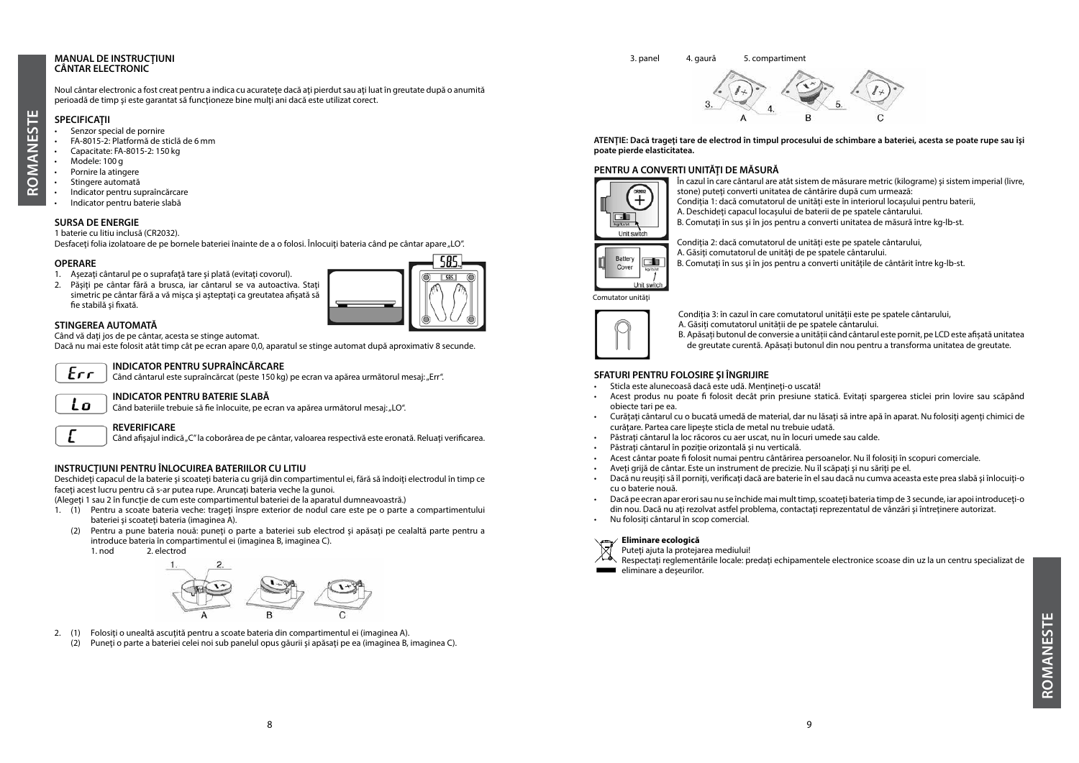#### **MANUAL DE INSTRUCŢIUNI CÂNTAR ELECTRONIC**

Noul cântar electronic a fost creat pentru a indica cu acuratete dacă ati pierdut sau ati luat în greutate după o anumită perioadă de timp și este garantat să funcționeze bine mulți ani dacă este utilizat corect.

#### **SPECIFICATII**

**ROMANESTE**

œ

**OMANESTE** 

- Senzor special de pornire
- FA-8015-2: Platformă de sticlă de 6 mm
- Capacitate: FA-8015-2: 150 kg
- Modele: 100 g
- Pornire la atingere
- Stingere automată
- Indicator pentru supraîncărcare • Indicator pentru baterie slabă
- **SURSA DE ENERGIE**

#### 1 baterie cu litiu inclusă (CR2032).

Desfaceti folia izolatoare de pe bornele bateriei înainte de a o folosi. Înlocuiti bateria când pe cântar apare "LO".

#### **OPERARE**

- 1. Asezați cântarul pe o suprafață tare și plată (evitați covorul).
- 2. Păsiți pe cântar fără a brusca, iar cântarul se va autoactiva. Stați simetric pe cântar fără a vă mișca și așteptați ca greutatea afișată să fie stabilă și fixată.



#### **STINGEREA AUTOMATĂ**

Când vă dați jos de pe cântar, acesta se stinge automat.

Dacă nu mai este folosit atât timp cât pe ecran apare 0,0, aparatul se stinge automat după aproximativ 8 secunde.

## $Err$

**INDICATOR PENTRU SUPRAÎNCĂRCARE**

Când cântarul este supraîncărcat (peste 150 kg) pe ecran va apărea următorul mesaj: "Err".

## Lο

**INDICATOR PENTRU BATERIE SLABĂ** Când bateriile trebuie să fie înlocuite, pe ecran va apărea următorul mesaj: "LO".

#### **REVERIFICARE**

Când afișajul indică "C" la coborârea de pe cântar, valoarea respectivă este eronată. Reluați verificarea.

#### **INSTRUCŢIUNI PENTRU ÎNLOCUIREA BATERIILOR CU LITIU**

Deschideți capacul de la baterie și scoateți bateria cu grijă din compartimentul ei, fără să îndoiți electrodul în timp ce faceţi acest lucru pentru că s-ar putea rupe. Aruncaţi bateria veche la gunoi.

(Alegeti 1 sau 2 în functie de cum este compartimentul bateriei de la aparatul dumneavoastră.)

- 1. (1) Pentru a scoate bateria veche: trageti înspre exterior de nodul care este pe o parte a compartimentului bateriei și scoateți bateria (imaginea A).
	- (2) Pentru a pune bateria nouă: puneţi o parte a bateriei sub electrod şi apăsaţi pe cealaltă parte pentru a introduce bateria în compartimentul ei (imaginea B, imaginea C).
		- 1. nod 2. electrod



- 2. (1) Folosiți o unealtă ascuțită pentru a scoate bateria din compartimentul ei (imaginea A).
- (2) Puneți o parte a bateriei celei noi sub panelul opus găurii și apăsați pe ea (imaginea B, imaginea C).

#### ( 3. panel 4. gaură 5. compartiment



**ATENŢIE: Dacă trageţi tare de electrod în timpul procesului de schimbare a bateriei, acesta se poate rupe sau îşi poate pierde elasticitatea.**

#### **PENTRU A CONVERTI UNITĂŢI DE MĂSURĂ**



În cazul în care cântarul are atât sistem de măsurare metric (kilograme) şi sistem imperial (livre, stone) puteți converți unitatea de cântărire după cum urmează: Condiția 1: dacă comutatorul de unități este în interiorul locașului pentru baterii, A. Deschideti capacul locașului de baterii de pe spatele cântarului.

B. Comutați în sus și în jos pentru a converti unitatea de măsură între kg-lb-st.



Condiţia 2: dacă comutatorul de unităţi este pe spatele cântarului, A. Găsiți comutatorul de unități de pe spatele cântarului. B. Comutați în sus și în jos pentru a converti unitățile de cântărit între kg-lb-st.



Condiția 3: în cazul în care comutatorul unității este pe spatele cântarului,

A. Găsiți comutatorul unității de pe spatele cântarului.

B. Apăsați butonul de conversie a unității când cântarul este pornit, pe LCD este afișată unitatea de greutate curentă. Apăsați butonul din nou pentru a transforma unitatea de greutate.

#### **SFATURI PENTRU FOLOSIRE ŞI ÎNGRIJIRE**

- Sticla este alunecoasă dacă este udă. Mențineți-o uscată!
- Acest produs nu poate fi folosit decât prin presiune statică. Evitați spargerea sticlei prin lovire sau scăpând obiecte tari pe ea.
- Curătați cântarul cu o bucată umedă de material, dar nu lăsați să intre apă în aparat. Nu folosiți agenți chimici de curătare. Partea care lipește șticla de metal nu trebuie udată.
- Păstrați cântarul la loc răcoros cu aer uscat, nu în locuri umede sau calde.
- Păstrați cântarul în poziție orizontală și nu verticală.
- Acest cântar poate fi folosit numai pentru cântărirea persoanelor. Nu îl folosiţi în scopuri comerciale.
- Aveti grijă de cântar. Este un instrument de precizie. Nu îl scăpați și nu săriți pe el.
- Dacă nu reușiți să îl porniți, verificați dacă are baterie în el sau dacă nu cumva aceasta este prea slabă și înlocuiți-o cu o baterie nouă.
- Dacă pe ecran apar erori sau nu se închide mai mult timp, scoateţi bateria timp de 3 secunde, iar apoi introduceţi-o din nou. Dacă nu ați rezolvat astfel problema, contactați reprezentatul de vânzări și întreținere autorizat.
- Nu folositi cântarul în scop comercial.

#### **Eliminare ecologică**

- Puteți ajuta la protejarea mediului!
- Respectaţi reglementările locale: predaţi echipamentele electronice scoase din uz la un centru specializat de eliminare a deşeurilor. **Contract Contract**

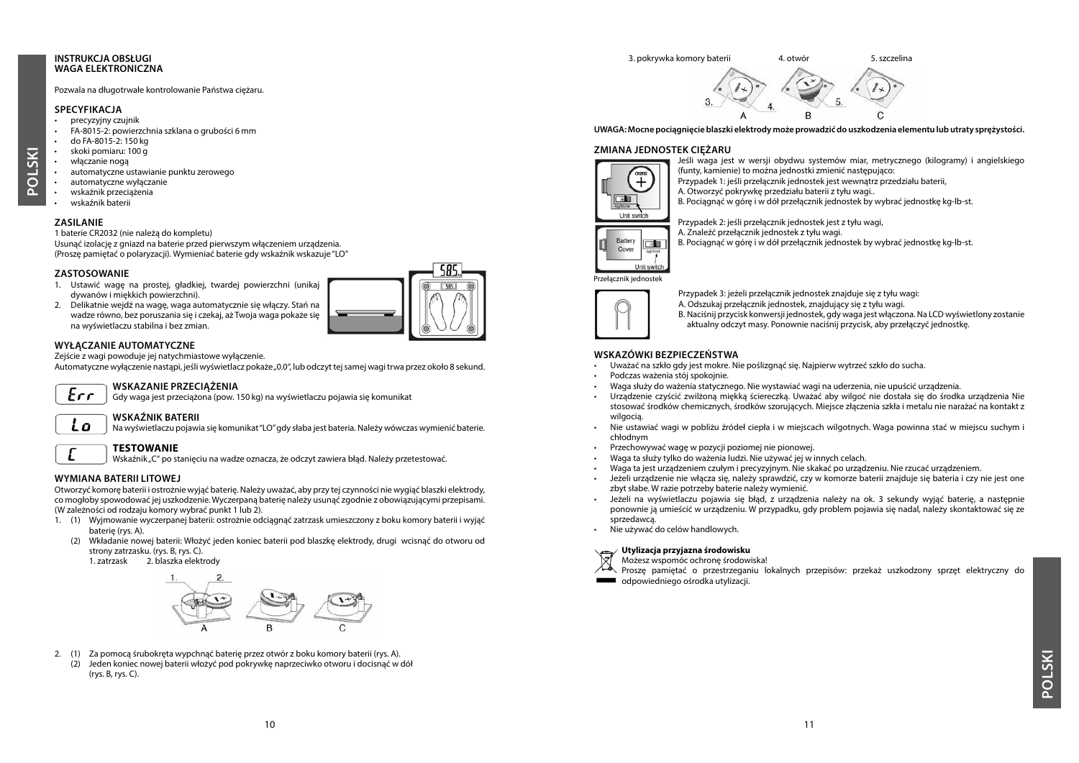#### **INSTRUKCJA OBSŁUGI WAGA ELEKTRONICZNA**

#### Pozwala na długotrwałe kontrolowanie Państwa ciężaru.

#### **SPECYFIKACJA**

- precyzyjny czujnik
- FA-8015-2: powierzchnia szklana o grubości 6 mm
- do FA-8015-2: 150 kg
- skoki pomiaru: 100 g • włączanie nogą
- automatyczne ustawianie punktu zerowego
- automatyczne wyłączanie
- wskaźnik przeciążenia
- wskaźnik baterii

#### **ZASILANIE**

**POLSKI**

#### 1 baterie CR2032 (nie należą do kompletu)

Usunąć izolację z gniazd na baterie przed pierwszym włączeniem urządzenia. (Proszę pamiętać o polaryzacji). Wymieniać baterie gdy wskaźnik wskazuje "LO"

#### **ZASTOSOWANIE**

- 1. Ustawić wagę na prostej, gładkiej, twardej powierzchni (unikaj dywanów i miękkich powierzchni).
- 2. Delikatnie wejdź na wagę, waga automatycznie się włączy. Stań na wadze równo, bez poruszania się i czekaj, aż Twoja waga pokaże się na wyświetlaczu stabilna i bez zmian.

#### **WYŁĄCZANIE AUTOMATYCZNE**

Zejście z wagi powoduje jej natychmiastowe wyłączenie.

Automatyczne wyłączenie nastąpi, jeśli wyświetlacz pokaże "0.0", lub odczyt tej samej wagi trwa przez około 8 sekund.



#### **WSKAZANIE PRZECIĄŻENIA**

Gdy waga jest przeciążona (pow. 150 kg) na wyświetlaczu pojawia się komunikat

#### **WSKAŹNIK BATERII** Lo

Na wyświetlaczu pojawia się komunikat "LO" gdy słaba jest bateria. Należy wówczas wymienić baterie.

#### **TESTOWANIE**

Wskaźnik "C" po stanięciu na wadze oznacza, że odczyt zawiera błąd. Należy przetestować.

#### **WYMIANA BATERII LITOWEJ**

Otworzyć komorę baterii i ostrożnie wyjąć baterię. Należy uważać, aby przy tej czynności nie wygiąć blaszki elektrody, co mogłoby spowodować jej uszkodzenie. Wyczerpaną baterię należy usunąć zgodnie z obowiązującymi przepisami. (W zależności od rodzaju komory wybrać punkt 1 lub 2).

- 1. (1) Wyjmowanie wyczerpanej baterii: ostrożnie odciągnąć zatrzask umieszczony z boku komory baterii i wyjąć baterię (rys. A).
	- (2) Wkładanie nowej baterii: Włożyć jeden koniec baterii pod blaszkę elektrody, drugi wcisnąć do otworu od strony zatrzasku. (rys. B, rys. C).

1. zatrzask 2. blaszka elektrody



2. (1) Za pomocą śrubokręta wypchnąć baterię przez otwór z boku komory baterii (rys. A). (2) Jeden koniec nowej baterii włożyć pod pokrywkę naprzeciwko otworu i docisnąć w dół (rys. B, rys. C).

# 3. pokrywka komory baterii 4. otwór 5. szczelina

**UWAGA: Mocne pociągnięcie blaszki elektrody może prowadzić do uszkodzenia elementu lub utraty sprężystości.**

#### **ZMIANA JEDNOSTEK CIĘŻARU**



Jeśli waga jest w wersji obydwu systemów miar, metrycznego (kilogramy) i angielskiego (funty, kamienie) to można jednostki zmienić następująco:

 $\cap$ 

Przypadek 1: jeśli przełącznik jednostek jest wewnątrz przedziału baterii,





Przypadek 2: jeśli przełącznik jednostek jest z tyłu wagi, A. Znaleźć przełącznik jednostek z tyłu wagi.

B. Pociągnąć w górę i w dół przełącznik jednostek by wybrać jednostkę kg-lb-st.

Przełącznik jednostek



Przypadek 3: jeżeli przełącznik jednostek znajduje się z tyłu wagi: A. Odszukaj przełącznik jednostek, znajdujący się z tyłu wagi. B. Naciśnij przycisk konwersji jednostek, gdy waga jest włączona. Na LCD wyświetlony zostanie aktualny odczyt masy. Ponownie naciśnij przycisk, aby przełączyć jednostkę.

#### **WSKAZÓWKI BEZPIECZEŃSTWA**

- Uważać na szkło gdy jest mokre. Nie poślizgnąć się. Najpierw wytrzeć szkło do sucha.
- Podczas ważenia stój spokojnie.
- Waga służy do ważenia statycznego. Nie wystawiać wagi na uderzenia, nie upuścić urządzenia.
- Urządzenie czyścić zwilżoną miękką ściereczką. Uważać aby wilgoć nie dostała się do środka urządzenia Nie stosować środków chemicznych, środków szorujących. Miejsce złączenia szkła i metalu nie narażać na kontakt z wilgocią.
- Nie ustawiać wagi w pobliżu źródeł ciepła i w miejscach wilgotnych. Waga powinna stać w miejscu suchym i chłodnym
- Przechowywać wagę w pozycji poziomej nie pionowej.
- Waga ta służy tylko do ważenia ludzi. Nie używać jej w innych celach.
- Waga ta jest urządzeniem czułym i precyzyjnym. Nie skakać po urządzeniu. Nie rzucać urządzeniem.
- Jeżeli urządzenie nie włącza się, należy sprawdzić, czy w komorze baterii znajduje się bateria i czy nie jest one zbyt słabe. W razie potrzeby baterie należy wymienić.
- Jeżeli na wyświetlaczu pojawia się błąd, z urządzenia należy na ok. 3 sekundy wyjąć baterię, a następnie ponownie ją umieścić w urządzeniu. W przypadku, gdy problem pojawia się nadal, należy skontaktować się ze sprzedawcą.
- Nie używać do celów handlowych.

#### **Utylizacja przyjazna środowisku**

Możesz wspomóc ochronę środowiska!

Proszę pamiętać o przestrzeganiu lokalnych przepisów: przekaż uszkodzony sprzęt elektryczny do **WELLET odpowiedniego ośrodka utylizacji.**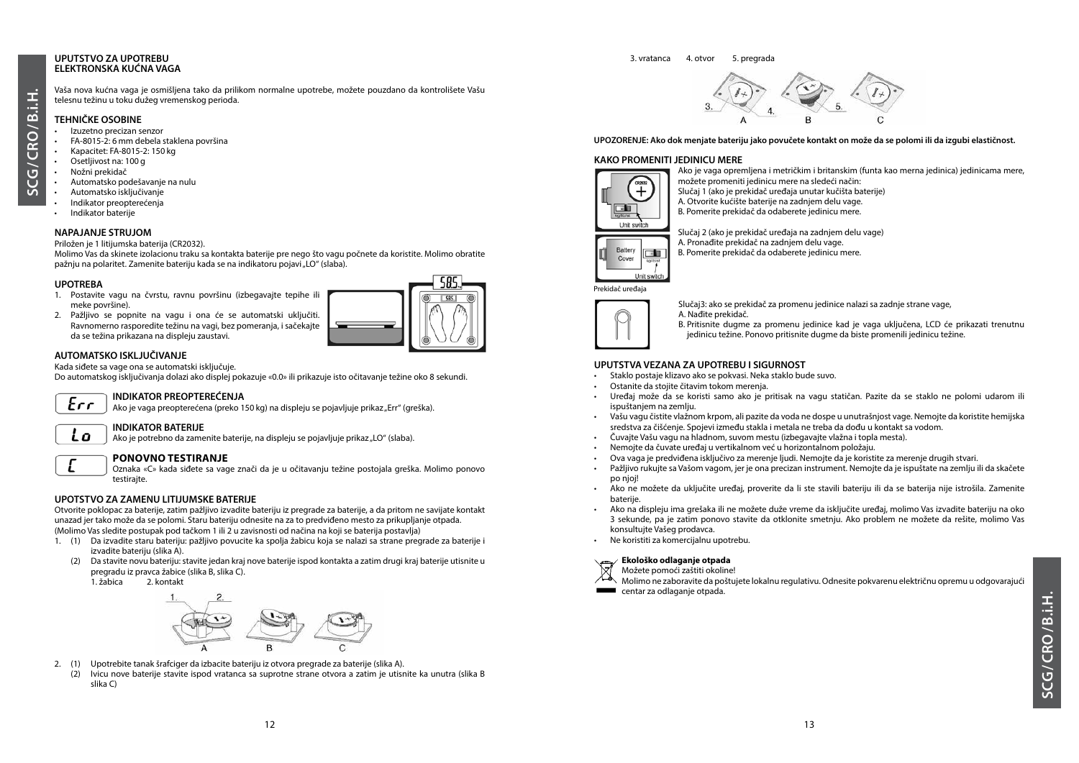#### **UPUTSTVO ZA UPOTREBU ELEKTRONSKA KUĆNA VAGA**

\_<br>უ

 $\overline{u}$ 

#### Vaša nova kućna vaga je osmišljena tako da prilikom normalne upotrebe, možete pouzdano da kontrolišete Vašu telesnu težinu u toku dužeg vremenskog perioda.

#### **TEHNIČKE OSOBINE**

- Izuzetno precizan senzor
- FA-8015-2: 6 mm debela staklena površina
- Kapacitet: FA-8015-2: 150 kg
- Osetljivost na: 100 g
- Nožni prekidač
- Automatsko podešavanje na nulu
- Automatsko isključivanje
- Indikator preopterećenja
- Indikator baterije

#### **NAPAJANJE STRUJOM**

Priložen je 1 litijumska baterija (CR2032).

Molimo Vas da skinete izolacionu traku sa kontakta baterije pre nego što vagu počnete da koristite. Molimo obratite pažnju na polaritet. Zamenite bateriju kada se na indikatoru pojavi "LO" (slaba).

#### **UPOTREBA**

- 1. Postavite vagu na čvrstu, ravnu površinu (izbegavajte tepihe ili meke površine).
- 2. Pažljivo se popnite na vagu i ona će se automatski uključiti. Ravnomerno rasporedite težinu na vagi, bez pomeranja, i sačekajte da se težina prikazana na displeju zaustavi.



#### **AUTOMATSKO ISKLJUČIVANJE**

Kada siđete sa vage ona se automatski isključuje.

Do automatskog isključivanja dolazi ako displej pokazuje «0.0» ili prikazuje isto očitavanje težine oko 8 sekundi.



Lo

#### **INDIKATOR PREOPTEREĆENJA**

Ako je vaga preopterećena (preko 150 kg) na displeju se pojavljuje prikaz "Err" (greška).

#### **INDIKATOR BATERIJE**

Ako je potrebno da zamenite baterije, na displeju se pojavljuje prikaz "LO" (slaba).

### **PONOVNO TESTIRANJE**

Oznaka «C» kada siđete sa vage znači da je u očitavanju težine postojala greška. Molimo ponovo testiraite.

#### **UPOTSTVO ZA ZAMENU LITIJUMSKE BATERIJE**

Otvorite poklopac za baterije, zatim pažljivo izvadite bateriju iz pregrade za baterije, a da pritom ne savijate kontakt unazad jer tako može da se polomi. Staru bateriju odnesite na za to predviđeno mesto za prikupljanje otpada. (Molimo Vas sledite postupak pod tačkom 1 ili 2 u zavisnosti od načina na koji se baterija postavlja)

- 1. (1) Da izvadite staru bateriju: pažljivo povucite ka spolja žabicu koja se nalazi sa strane pregrade za baterije i izvadite bateriju (slika A).
	- (2) Da stavite novu bateriju: stavite jedan kraj nove baterije ispod kontakta a zatim drugi kraj baterije utisnite u pregradu iz pravca žabice (slika B, slika C).
		- 2. kontakt



- 2. (1) Upotrebite tanak šrafciger da izbacite bateriju iz otvora pregrade za baterije (slika A).
	- (2) Ivicu nove baterije stavite ispod vratanca sa suprotne strane otvora a zatim je utisnite ka unutra (slika B slika C)

# 3. vratanca 4. otvor 5. pregrada



#### **UPOZORENJE: Ako dok menjate bateriju jako povučete kontakt on može da se polomi ili da izgubi elastičnost.**

#### **KAKO PROMENITI JEDINICU MERE** Ako je vaga opremljena i metričkim i britanskim (funta kao merna jedinica) jedinicama mere,



Unit switch

Slučaj 1 (ako je prekidač uređaja unutar kučišta baterije) A. Otvorite kućište baterije na zadnjem delu vage. B. Pomerite prekidač da odaberete jedinicu mere.

面

Slučaj 2 (ako je prekidač uređaja na zadnjem delu vage) A. Pronađite prekidač na zadnjem delu vage.



možete promeniti jedinicu mere na sledeći način:



Cover

Slučaj3: ako se prekidač za promenu jedinice nalazi sa zadnje strane vage, A. Nađite prekidač.

B. Pritisnite dugme za promenu jedinice kad je vaga uključena, LCD će prikazati trenutnu jedinicu težine. Ponovo pritisnite dugme da biste promenili jedinicu težine.

#### **UPUTSTVA VEZANA ZA UPOTREBU I SIGURNOST**

- Staklo postaje klizavo ako se pokvasi. Neka staklo bude suvo.
- Ostanite da stojite čitavim tokom merenja.
- Uređaj može da se koristi samo ako je pritisak na vagu statičan. Pazite da se staklo ne polomi udarom ili ispuštanjem na zemlju.
- Vašu vagu čistite vlažnom krpom, ali pazite da voda ne dospe u unutrašnjost vage. Nemojte da koristite hemijska sredstva za čišćenje. Spojevi između stakla i metala ne treba da dođu u kontakt sa vodom.
- Čuvajte Vašu vagu na hladnom, suvom mestu (izbegavajte vlažna i topla mesta).
- Nemojte da čuvate uređaj u vertikalnom već u horizontalnom položaju.
- Ova vaga je predviđena isključivo za merenje ljudi. Nemojte da je koristite za merenje drugih stvari.
- Pažljivo rukujte sa Vašom vagom, jer je ona precizan instrument. Nemojte da je ispuštate na zemlju ili da skačete po njoj!
- Ako ne možete da uključite uređaj, proverite da li ste stavili bateriju ili da se baterija nije istrošila. Zamenite baterije.
- Ako na displeju ima grešaka ili ne možete duže vreme da isključite uređaj, molimo Vas izvadite bateriju na oko 3 sekunde, pa je zatim ponovo stavite da otklonite smetnju. Ako problem ne možete da rešite, molimo Vas konsultujte Vašeg prodavca.
- Ne koristiti za komercijalnu upotrebu.

#### **Ekološko odlaganje otpada**

Možete pomoći zaštiti okoline!

Molimo ne zaboravite da poštujete lokalnu regulativu. Odnesite pokvarenu električnu opremu u odgovarajući centar za odlaganie otpada.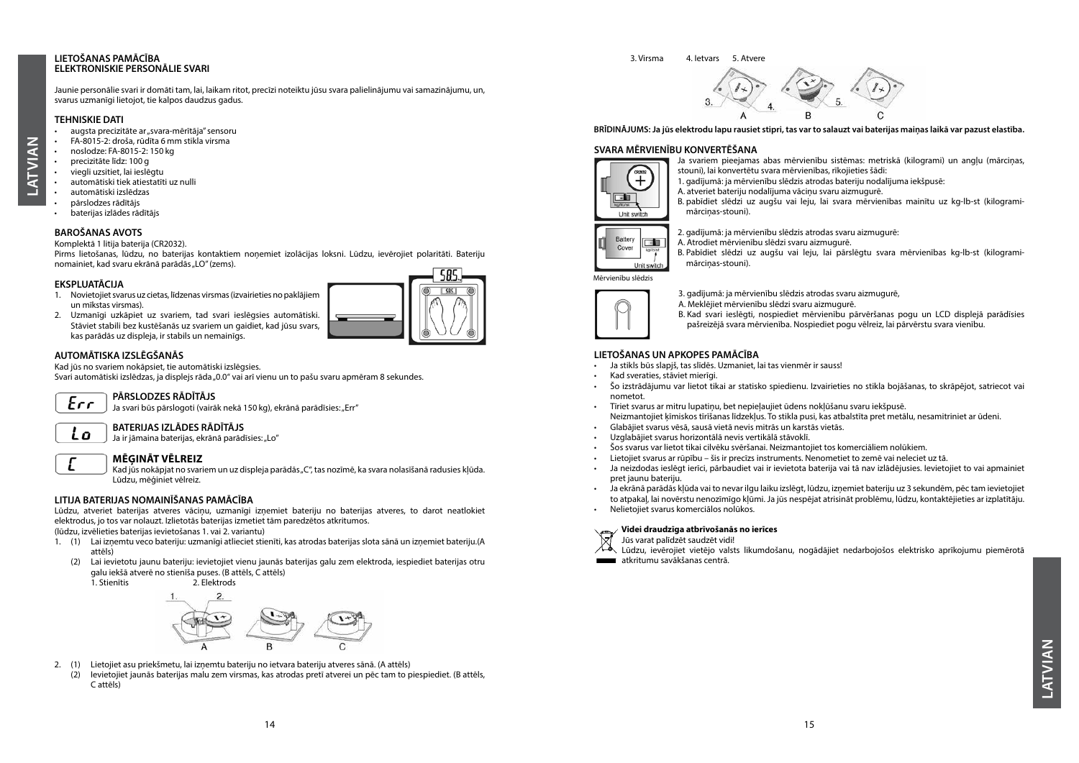#### **LIETOŠANAS PAMĀCĪBA ELEKTRONISKIE PERSONĀLIE SVARI**

**LATVIAN**

**ATVIAN** 

Jaunie personālie svari ir domāti tam, lai, laikam ritot, precīzi noteiktu jūsu svara palielinājumu vai samazinājumu, un, svarus uzmanīgi lietojot, tie kalpos daudzus gadus.

#### **TEHNISKIE DATI**

- augsta precizitāte ar "svara-mērītāja" sensoru
- FA-8015-2: droša, rūdīta 6 mm stikla virsma
- noslodze: FA-8015-2: 150 kg
- precizitāte līdz: 100 g
- viegli uzsitiet, lai ieslēgtu
- automātiski tiek atiestatīti uz nulli
- automātiski izslēdzas
- pārslodzes rādītājs
- baterijas izlādes rādītājs

#### **BAROŠANAS AVOTS**

Komplektā 1 litija baterija (CR2032).

Pirms lietošanas, lūdzu, no baterijas kontaktiem noņemiet izolācijas loksni. Lūdzu, ievērojiet polaritāti. Bateriju nomainiet, kad svaru ekrānā parādās "LO" (zems).

#### **EKSPLUATĀCIJA**

1. Novietojiet svarus uz cietas, līdzenas virsmas (izvairieties no paklājiem un mīkstas virsmas). 2. Uzmanīgi uzkāpiet uz svariem, tad svari ieslēgsies automātiski.

Stāviet stabili bez kustēšanās uz svariem un gaidiet, kad jūsu svars,

#### **AUTOMĀTISKA IZSLĒGŠANĀS**

Kad jūs no svariem nokāpsiet, tie automātiski izslēgsies.

kas parādās uz displeja, ir stabils un nemainīgs.

Svari automātiski izslēdzas, ja displejs rāda "0.0" vai arī vienu un to pašu svaru apmēram 8 sekundes.



Lo

#### **PĀRSLODZES RĀDĪTĀJS**

Ja svari būs pārslogoti (vairāk nekā 150 kg), ekrānā parādīsies: "Err"

#### **BATERIJAS IZLĀDES RĀDĪTĀJS**

Ja ir jāmaina baterijas, ekrānā parādīsies: "Lo"

#### **MĒĢINĀT VĒLREIZ**

Kad jūs nokāpjat no svariem un uz displeja parādās "C", tas nozīmē, ka svara nolasīšanā radusies kļūda. Lūdzu, mēģiniet vēlreiz.

#### **LITIJA BATERIJAS NOMAINĪŠANAS PAMĀCĪBA**

Lūdzu, atveriet baterijas atveres vāciņu, uzmanīgi izņemiet bateriju no baterijas atveres, to darot neatlokiet elektrodus, jo tos var nolauzt. Izlietotās baterijas izmetiet tām paredzētos atkritumos.

(lūdzu, izvēlieties baterijas ievietošanas 1. vai 2. variantu)

- 1. (1) Lai izņemtu veco bateriju: uzmanīgi atlieciet stienīti, kas atrodas baterijas slota sānā un izņemiet bateriju.(A attēls)
	- (2) Lai ievietotu jaunu bateriju: ievietojiet vienu jaunās baterijas galu zem elektroda, iespiediet baterijas otru galu iekšā atverē no stienīša puses. (B attēls, C attēls)

2. Elektrods

- 2. (1) Lietojiet asu priekšmetu, lai izņemtu bateriju no ietvara bateriju atveres sānā. (A attēls)
	- (2) Ievietojiet jaunās baterijas malu zem virsmas, kas atrodas pretī atverei un pēc tam to piespiediet. (B attēls, C attēls)

**BRĪDINĀJUMS: Ja jūs elektrodu lapu rausiet stipri, tas var to salauzt vai baterijas maiņas laikā var pazust elastība.** 

#### **SVARA MĒRVIENĪBU KONVERTĒŠANA**



Ja svariem pieejamas abas mērvienību sistēmas: metriskā (kilogrami) un angļu (mārciņas, stouni), lai konvertētu svara mērvienības, rīkojieties šādi:

- 1. gadījumā: ja mērvienību slēdzis atrodas bateriju nodalījuma iekšpusē:
- A. atveriet bateriju nodalījuma vāciņu svaru aizmugurē.

B. pabīdiet slēdzi uz augšu vai leju, lai svara mērvienības mainītu uz kg-lb-st (kilogramimārciņas-stouni).



2. gadījumā: ja mērvienību slēdzis atrodas svaru aizmugurē: A. Atrodiet mērvienību slēdzi svaru aizmugurē.

B. Pabīdiet slēdzi uz augšu vai leju, lai pārslēgtu svara mērvienības kg-lb-st (kilogramimārcinas-stouni).

Mērvienību slēdzis



3. gadījumā: ja mērvienību slēdzis atrodas svaru aizmugurē,

A. Meklējiet mērvienību slēdzi svaru aizmugurē.

B. Kad svari ieslēgti, nospiediet mērvienību pārvēršanas pogu un LCD displejā parādīsies pašreizējā svara mērvienība. Nospiediet pogu vēlreiz, lai pārvērstu svara vienību.

#### **LIETOŠANAS UN APKOPES PAMĀCĪBA**

- Ja stikls būs slapjš, tas slīdēs. Uzmaniet, lai tas vienmēr ir sauss!
- Kad sveraties, stāviet mierīgi.
- Šo izstrādājumu var lietot tikai ar statisko spiedienu. Izvairieties no stikla bojāšanas, to skrāpējot, satriecot vai nometot.
- Tīriet svarus ar mitru lupatiņu, bet nepieļaujiet ūdens nokļūšanu svaru iekšpusē. Neizmantojiet ķīmiskos tīrīšanas līdzekļus. To stikla pusi, kas atbalstīta pret metālu, nesamitriniet ar ūdeni.
- Glabājiet svarus vēsā, sausā vietā nevis mitrās un karstās vietās.
- Uzglabājiet svarus horizontālā nevis vertikālā stāvoklī.
- Šos svarus var lietot tikai cilvēku svēršanai. Neizmantojiet tos komerciāliem nolūkiem.
- Lietojiet svarus ar rūpību šis ir precīzs instruments. Nenometiet to zemē vai neleciet uz tā.
- Ja neizdodas ieslēgt ierīci, pārbaudiet vai ir ievietota baterija vai tā nav izlādējusies. Ievietojiet to vai apmainiet pret jaunu bateriju.
- Ja ekrānā parādās kļūda vai to nevar ilgu laiku izslēgt, lūdzu, izņemiet bateriju uz 3 sekundēm, pēc tam ievietojiet to atpakaļ, lai novērstu nenozīmīgo kļūmi. Ja jūs nespējat atrisināt problēmu, lūdzu, kontaktējieties ar izplatītāju. • Nelietojiet svarus komerciālos nolūkos.
- 

#### **Videi draudzīga atbrīvošanās no ierīces**

Jūs varat palīdzēt saudzēt vidi! Lūdzu, ievērojiet vietējo valsts likumdošanu, nogādājiet nedarbojošos elektrisko aprīkojumu piemērotā

**atkritumu savākšanas centrā.** 

**ATVIAN LATVIAN**

3. Virsma 4. Ietvars 5. Atvere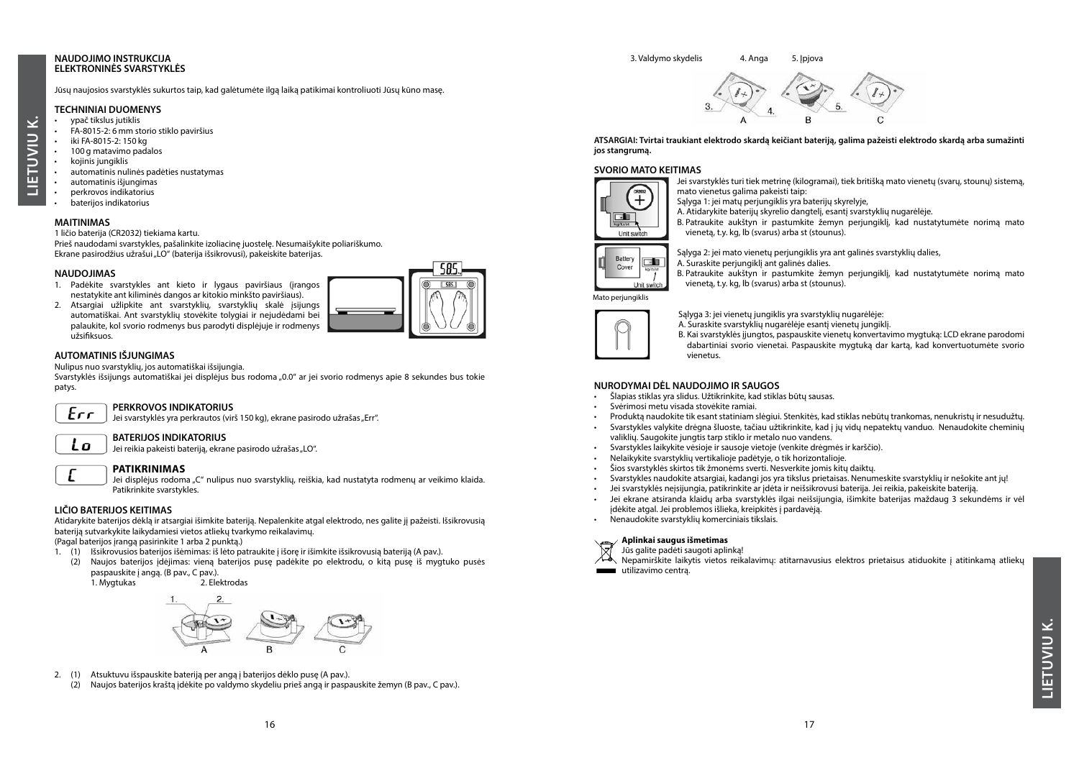#### **NAUDOJIMO INSTRUKCIJA ELEKTRONINĖS SVARSTYKLĖS**

Jūsų naujosios svarstyklės sukurtos taip, kad galėtumėte ilgą laiką patikimai kontroliuoti Jūsų kūno masę.

#### **TECHNINIAI DUOMENYS**

- ypač tikslus jutiklis
- FA-8015-2: 6 mm storio stiklo paviršius
- iki FA-8015-2: 150 kg • 100 g matavimo padalos

**LIETUVIU K.**

ETUVIU

E

نج

- kojinis jungiklis
- automatinis nulinės padėties nustatymas
- automatinis išjungimas
- perkrovos indikatorius
- baterijos indikatorius

#### **MAITINIMAS**

#### 1 ličio baterija (CR2032) tiekiama kartu.

Prieš naudodami svarstykles, pašalinkite izoliacinę juostelę. Nesumaišykite poliariškumo. Ekrane pasirodžius užrašui "LO" (baterija išsikrovusi), pakeiskite baterijas.

#### **NAUDOJIMAS**

- 1. Padėkite svarstykles ant kieto ir lygaus paviršiaus (įrangos nestatykite ant kiliminės dangos ar kitokio minkšto paviršiaus).
- 2. Atsargiai užlipkite ant svarstyklių, svarstyklių skalė įsijungs automatiškai. Ant svarstyklių stovėkite tolygiai ir nejudėdami bei palaukite, kol svorio rodmenys bus parodyti displėjuje ir rodmenys užsifiksuos.

#### **AUTOMATINIS IŠJUNGIMAS**

Nulipus nuo svarstyklių, jos automatiškai išsijungia.

Svarstyklės išsijungs automatiškai jei displėjus bus rodoma "0.0" ar jei svorio rodmenys apie 8 sekundes bus tokie patys.

#### **PERKROVOS INDIKATORIUS**

Jei svarstyklės yra perkrautos (virš 150 kg), ekrane pasirodo užrašas "Err".

#### **BATERIJOS INDIKATORIUS**

Jei reikia pakeisti bateriją, ekrane pasirodo užrašas "LO".

Lo

 $Err$ 

## **PATIKRINIMAS**

Jei displėjus rodoma "C" nulipus nuo svarstyklių, reiškia, kad nustatyta rodmenų ar veikimo klaida. Patikrinkite svarstykles.

#### **LIČIO BATERIJOS KEITIMAS**

Atidarykite baterijos dėklą ir atsargiai išimkite bateriją. Nepalenkite atgal elektrodo, nes galite jį pažeisti. Išsikrovusią bateriją sutvarkykite laikydamiesi vietos atliekų tvarkymo reikalavimų.

(Pagal baterijos įrangą pasirinkite 1 arba 2 punktą.)

- 1. (1) Išsikrovusios baterijos išėmimas: iš lėto patraukite į išorę ir išimkite išsikrovusią bateriją (A pav.).
- (2) Naujos baterijos įdėjimas: vieną baterijos pusę padėkite po elektrodu, o kitą pusę iš mygtuko pusės paspauskite į angą. (B pav., C pav.).
	- 1. Mygtukas



- 2. (1) Atsuktuvu išspauskite bateriją per angą į baterijos dėklo pusę (A pav.).
	- (2) Naujos baterijos kraštą įdėkite po valdymo skydeliu prieš angą ir paspauskite žemyn (B pav., C pav.).

# 3. Valdymo skydelis 4. Anga 5. Ipjova

**ATSARGIAI: Tvirtai traukiant elektrodo skardą keičiant bateriją, galima pažeisti elektrodo skardą arba sumažinti jos stangrumą.**

#### **SVORIO MATO KEITIMAS**



Jei svarstyklės turi tiek metrinę (kilogramai), tiek britišką mato vienetų (svarų, stounų) sistemą, mato vienetus galima pakeisti taip:

Salyga 1: jei matų periungiklis yra baterijų skyrelyje,

A. Atidarykite baterijų skyrelio dangtelį, esantį svarstyklių nugarėlėje.

B. Patraukite aukštyn ir pastumkite žemyn perjungiklį, kad nustatytumėte norimą mato vienetą, t.y. kg, lb (svarus) arba st (stounus).



Sąlyga 2: jei mato vienetų periungiklis yra ant galinės svarstyklių dalies, A. Suraskite perjungiklį ant galinės dalies.

B. Patraukite aukštyn ir pastumkite žemyn perjungiklį, kad nustatytumėte norimą mato vienetą, t.y. kg, lb (svarus) arba st (stounus).

Mato perjungiklis



Sąlyga 3: jei vienetų jungiklis yra svarstyklių nugarėlėje:

A. Suraskite svarstyklių nugarėlėje esantį vienetų jungiklį.

B. Kai svarstyklės įjungtos, paspauskite vienetų konvertavimo mygtuką: LCD ekrane parodomi dabartiniai svorio vienetai. Paspauskite mygtuką dar kartą, kad konvertuotumėte svorio vienetus.

#### **NURODYMAI DĖL NAUDOJIMO IR SAUGOS**

- Šlapias stiklas yra slidus. Užtikrinkite, kad stiklas būtų sausas.
- Svėrimosi metu visada stovėkite ramiai.
- Produktą naudokite tik esant statiniam slėgiui. Stenkitės, kad stiklas nebūtų trankomas, nenukristų ir nesudužtų.
- Svarstykles valykite drėgna šluoste, tačiau užtikrinkite, kad į jų vidų nepatektų vanduo. Nenaudokite cheminių valiklių. Saugokite jungtis tarp stiklo ir metalo nuo vandens.
- Svarstykles laikykite vėsioje ir sausoje vietoje (venkite drėgmės ir karščio).
- Nelaikykite svarstyklių vertikalioje padėtyje, o tik horizontalioje.
- Šios svarstyklės skirtos tik žmonėms sverti. Nesverkite jomis kitų daiktų.
- Svarstykles naudokite atsargiai, kadangi jos yra tikslus prietaisas. Nenumeskite svarstyklių ir nešokite ant jų!
- Jei svarstyklės neįsijungia, patikrinkite ar įdėta ir neišsikrovusi baterija. Jei reikia, pakeiskite bateriją.
- Jei ekrane atsiranda klaidų arba svarstyklės ilgai neišsijungia, išimkite baterijas maždaug 3 sekundėms ir vėl įdėkite atgal. Jei problemos išlieka, kreipkitės į pardavėją.
- Nenaudokite svarstyklių komerciniais tikslais.

#### **Aplinkai saugus išmetimas**

- Jūs galite padėti saugoti aplinką!
- Nepamirškite laikytis vietos reikalavimų: atitarnavusius elektros prietaisus atiduokite į atitinkamą atliekų  $\blacksquare$ utilizavimo centra.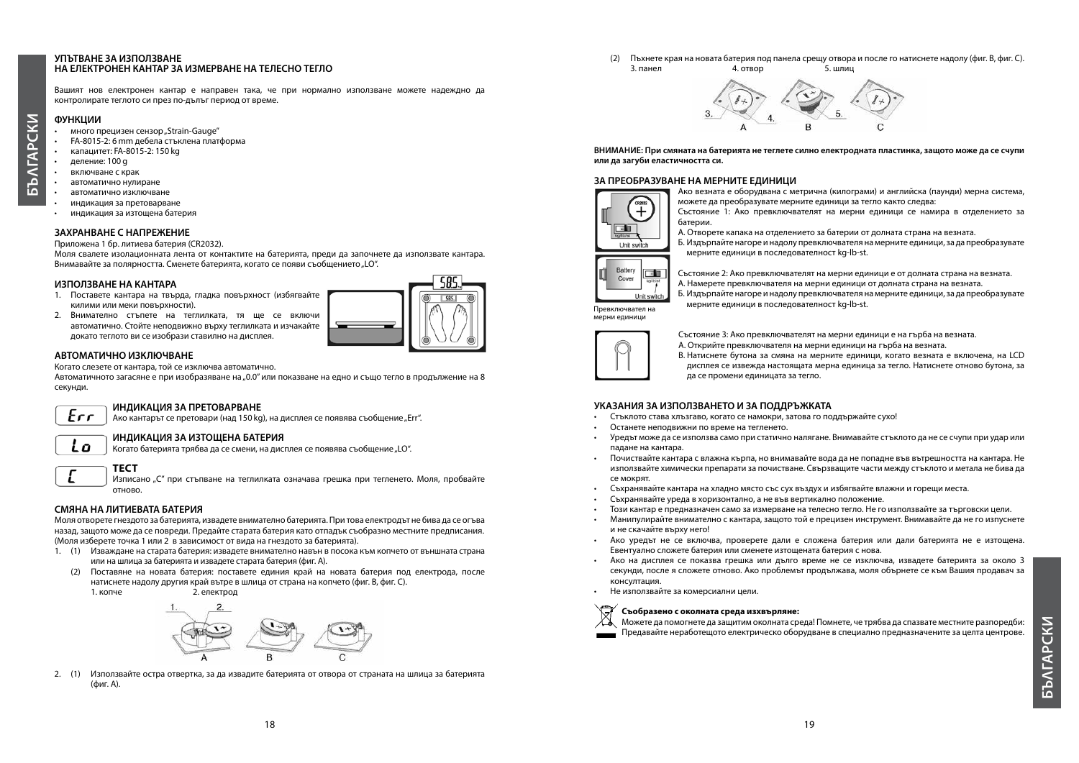#### **УПЪТВАНЕ ЗА ИЗПОЛЗВАНЕ НА ЕЛЕКТРОНЕН КАНТАР ЗА ИЗМЕРВАНЕ НА ТЕЛЕСНО ТЕГЛО**

Вашият нов електронен кантар е направен така, че при нормално използване можете надеждно да контролирате теглото си през по-дълъг период от време.

# **PCKV БЪΛГАРСКИ ФУНКЦИИ**

 $\overline{\mathsf{A}}$ ِ<br>م

- много прецизен сензор "Strain-Gauge"
- FA-8015-2: 6 mm дебела стъклена платформа
- капацитет: FA-8015-2: 150 kg
- деление: 100 g
- включване с крак
- автоматично нулиране
- автоматично изключване
- индикация за претоварване
- индикация за изтощена батерия

#### **ЗАХРАНВАНЕ С НАПРЕЖЕНИЕ**

Приложена 1 бр. литиева батерия (CR2032).

Моля свалете изолационната лента от контактите на батерията, преди да започнете да използвате кантара. Внимавайте за полярността. Сменете батерията, когато се появи съобщението "LO".

#### **ИЗПОЛЗВАНЕ НА КАНТАРА**

- 1. Поставете кантара на твърда, гладка повърхност (избягвайте килими или меки повърхности).
- 2. Внимателно стъпете на теглилката, тя ще се включи автоматично. Стойте неподвижно върху теглилката и изчакайте докато теглото ви се изобрази ставилно на дисплея.

**ИНДИКАЦИЯ ЗА ПРЕТОВАРВАНЕ**



#### **АВТОМАТИЧНО ИЗКЛЮЧВАНЕ**

Когато слезете от кантара, той се изключва автоматично.

Автоматичното загасяне е при изобразяване на "0.0" или показване на едно и също тегло в продължение на 8 секунди.

Ако кантарът се претовари (над 150 kg), на дисплея се появява съобщение "Err".

## Err

Lo

**ИНДИКАЦИЯ ЗА ИЗТОЩЕНА БАТЕРИЯ**

Когато батерията трябва да се смени, на дисплея се появява съобщение "LO".

### **ТЕСТ**

Изписано "С" при стъпване на теглилката означава грешка при тегленето. Моля, пробвайте отново.

#### **СМЯНА НА ЛИТИЕВАТА БАТЕРИЯ**

Моля отворете гнездото за батерията, извадете внимателно батерията. При това електродът не бива да се огъва назад, защото може да се повреди. Предайте старата батерия като отпадък съобразно местните предписания. (Моля изберете точка 1 или 2 в зависимост от вида на гнездото за батерията).

- 1. (1) Изваждане на старата батерия: извадете внимателно навън в посока към копчето от външната страна или на шлица за батерията и извадете старата батерия (фиг. A).
	- (2) Поставяне на новата батерия: поставете единия край на новата батерия под електрода, после натиснете надолу другия край вътре в шлица от страна на копчето (фиг. B, фиг. C).





2. (1) Използвайте остра отвертка, за да извадите батерията от отвора от страната на шлица за батерията (фиг. A).

(2) Пъхнете края на новата батерия под панела срещу отвора и после го натиснете надолу (фиг. B, фиг. C). 3. панел 4. отвор 5. шлиц



**ВНИМАНИЕ: При смяната на батерията не теглете силно електродната пластинка, защото може да се счупи или да загуби еластичността си.**

#### **ЗА ПРЕОБРАЗУВАНЕ НА МЕРНИТЕ ЕДИНИЦИ**



Ако везната е оборудвана с метрична (килограми) и английска (паунди) мерна система, можете да преобразувате мерните единици за тегло както следва:

- Състояние 1: Ако превключвателят на мерни единици се намира в отделението за батерии.
- А. Отворете капака на отделението за батерии от долната страна на везната.
- Б. Издърпайте нагоре и надолу превключвателя на мерните единици, за да преобразувате мерните единици в последователност kg-lb-st.



Състояние 2: Ако превключвателят на мерни единици е от долната страна на везната. А. Намерете превключвателя на мерни единици от долната страна на везната.

Б. Издърпайте нагоре и надолу превключвателя на мерните единици, за да преобразувате мерните единици в последователност kg-lb-st. Превключвател на мерни единици



Състояние 3: Ако превключвателят на мерни единици е на гърба на везната.

- A. Открийте превключвателя на мерни единици на гърба на везната.
- B. Натиснете бутона за смяна на мерните единици, когато везната е включена, на LCD дисплея се извежда настоящата мерна единица за тегло. Натиснете отново бутона, за да се промени единицата за тегло.

#### **УКАЗАНИЯ ЗА ИЗПОЛЗВАНЕТО И ЗА ПОДДРЪЖКАТА**

- Стъклото става хлъзгаво, когато се намокри, затова го поддържайте сухо!
- Останете неподвижни по време на тегленето.
- Уредът може да се използва само при статично налягане. Внимавайте стъклото да не се счупи при удар или падане на кантара.
- Почиствайте кантара с влажна кърпа, но внимавайте вода да не попадне във вътрешността на кантара. Не използвайте химически препарати за почистване. Свързващите части между стъклото и метала не бива да се мокрят.
- Съхранявайте кантара на хладно място със сух въздух и избягвайте влажни и горещи места.
- Съхранявайте уреда в хоризонтално, а не във вертикално положение.
- Този кантар е предназначен само за измерване на телесно тегло. Не го използвайте за търговски цели.
- Манипулирайте внимателно с кантара, защото той е прецизен инструмент. Внимавайте да не го изпуснете и не скачайте върху него!
- Ако уредът не се включва, проверете дали е сложена батерия или дали батерията не е изтощена. Евентуално сложете батерия или сменете изтощената батерия с нова.
- Ако на дисплея се показва грешка или дълго време не се изключва, извадете батерията за около 3 секунди, после я сложете отново. Ако проблемът продължава, моля обърнете се към Вашия продавач за консултация.
- Не използвайте за комерсиални цели.

#### **Съобразено с околната среда изхвърляне:**

Можете да помогнете да защитим околната среда! Помнете, че трябва да спазвате местните разпоредби: Предавайте неработещото електрическо оборудване в специално предназначените за целта центрове.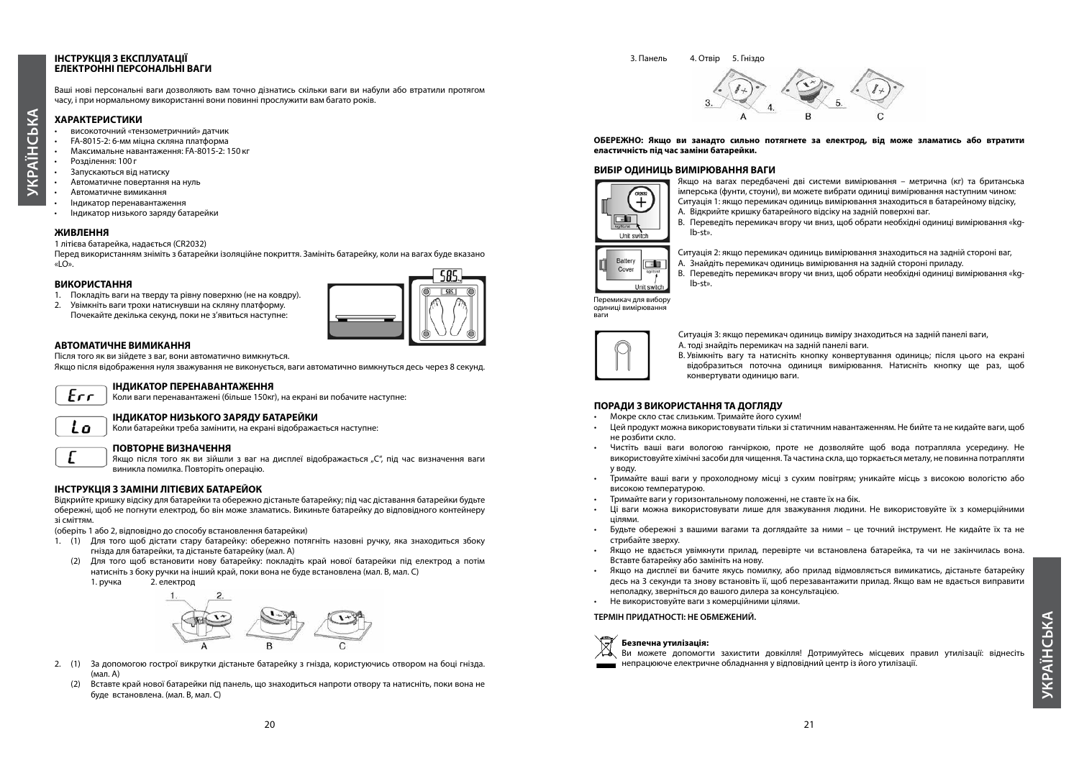#### **ІНСТРУКЦІЯ З ЕКСПЛУАТАЦІЇ ЕЛЕКТРОННІ ПЕРСОНАЛЬНІ ВАГИ**

Ваші нові персональні ваги дозволяють вам точно дізнатись скільки ваги ви набули або втратили протягом часу, і при нормальному використанні вони повинні прослужити вам багато років.

#### **ХАРАКТЕРИСТИКИ**

- високоточний «тензометричний» датчик
- FA-8015-2: 6-мм міцна скляна платформа
- Максимальне навантаження: FA-8015-2: 150 кг
- Розділення: 100 г

**УКРАЇНСЬКА**

**YKPAÏH** 

CbKA

- Запускаються від натиску
- Автоматичне повертання на нуль
- Автоматичне вимикання
- Індикатор перенавантаження
- Індикатор низького заряду батарейки

#### **ЖИВЛЕННЯ**

1 літієва батарейка, надається (CR2032)

Перед використанням зніміть з батарейки ізоляційне покриття. Замініть батарейку, коли на вагах буде вказано «LO».

#### **ВИКОРИСТАННЯ**

- 1. Покладіть ваги на тверду та рівну поверхню (не на ковдру).
- 2. Увімкніть ваги трохи натиснувши на скляну платформу. Почекайте декілька секунд, поки не з'явиться наступне:



#### **АВТОМАТИЧНЕ ВИМИКАННЯ**

Після того як ви зійдете з ваг, вони автоматично вимкнуться.

Якщо після відображення нуля зважування не виконується, ваги автоматично вимкнуться десь через 8 секунд.



Lo

#### **ІНДИКАТОР ПЕРЕНАВАНТАЖЕННЯ**

Коли ваги перенавантажені (більше 150кг), на екрані ви побачите наступне:

#### **ІНДИКАТОР НИЗЬКОГО ЗАРЯДУ БАТАРЕЙКИ**

Коли батарейки треба замінити, на екрані відображається наступне:

#### **ПОВТОРНЕ ВИЗНАЧЕННЯ**

Якщо після того як ви зійшли з ваг на дисплеї відображається "С", під час визначення ваги виникла помилка. Повторіть операцію.

#### **ІНСТРУКЦІЯ З ЗАМІНИ ЛІТІЄВИХ БАТАРЕЙОК**

Відкрийте кришку відсіку для батарейки та обережно дістаньте батарейку; під час діставання батарейки будьте обережні, щоб не погнути електрод, бо він може зламатись. Викиньте батарейку до відповідного контейнеру зі сміттям.

(оберіть 1 або 2, відповідно до способу встановлення батарейки)

- 1. (1) Для того щоб дістати стару батарейку: обережно потягніть назовні ручку, яка знаходиться збоку гнізда для батарейки, та дістаньте батарейку (мал. А)
- (2) Для того щоб встановити нову батарейку: покладіть край нової батарейки під електрод а потім натисніть з боку ручки на інший край, поки вона не буде встановлена (мал. В, мал. С)



- 2. (1) За допомогою гострої викрутки дістаньте батарейку з гнізда, користуючись отвором на боці гнізда. (мал. А)
	- (2) Вставте край нової батарейки під панель, що знаходиться напроти отвору та натисніть, поки вона не буде встановлена. (мал. В, мал. С)

(2) 3. Панель 4. Отвір 5. Гніздо



**ОБЕРЕЖНО: Якщо ви занадто сильно потягнете за електрод, від може зламатись або втратити еластичність під час заміни батарейки.**

#### **ВИБІР ОДИНИЦЬ ВИМІРЮВАННЯ ВАГИ**



Якщо на вагах передбачені дві системи вимірювання – метрична (кг) та британська імперська (фунти, стоуни), ви можете вибрати одиниці вимірювання наступним чином: Ситуація 1: якщо перемикач одиниць вимірювання знаходиться в батарейному відсіку,

- А. Відкрийте кришку батарейного відсіку на задній поверхні ваг.
- В. Переведіть перемикач вгору чи вниз, щоб обрати необхідні одиниці вимірювання «kglb-st».



Ситуація 2: якщо перемикач одиниць вимірювання знаходиться на задній стороні ваг,

- А. Знайдіть перемикач одиниць вимірювання на задній стороні приладу.
- В. Переведіть перемикач вгору чи вниз, щоб обрати необхідні одиниці вимірювання «kglb-st».

Перемикач для вибору одиниці вимірювання ваги



Ситуація 3: якщо перемикач одиниць виміру знаходиться на задній панелі ваги, A. тоді знайдіть перемикач на задній панелі ваги.

B. Увімкніть вагу та натисніть кнопку конвертування одиниць; після цього на екрані відобразиться поточна одиниця вимірювання. Натисніть кнопку ще раз, щоб конвертувати одиницю ваги.

## **ПОРАДИ З ВИКОРИСТАННЯ ТА ДОГЛЯДУ**

- Мокре скло стає слизьким. Тримайте його сухим!
- Цей продукт можна використовувати тільки зі статичним навантаженням. Не бийте та не кидайте ваги, щоб не розбити скло.
- Чистіть ваші ваги вологою ганчіркою, проте не дозволяйте щоб вода потрапляла усередину. Не використовуйте хімічні засоби для чищення. Та частина скла, що торкається металу, не повинна потрапляти у воду.
- Тримайте ваші ваги у прохолодному місці з сухим повітрям; уникайте місць з високою вологістю або високою температурою.
- Тримайте ваги у горизонтальному положенні, не ставте їх на бік.
- Ці ваги можна використовувати лише для зважування людини. Не використовуйте їх з комерційними цілями.
- Будьте обережні з вашими вагами та доглядайте за ними це точний інструмент. Не кидайте їх та не стрибайте зверху.
- Якщо не вдається увімкнути прилад, перевірте чи встановлена батарейка, та чи не закінчилась вона. Вставте батарейку або замініть на нову.
- Якщо на дисплеї ви бачите якусь помилку, або прилад відмовляється вимикатись, дістаньте батарейку десь на 3 секунди та знову встановіть її, щоб перезавантажити прилад. Якщо вам не вдається виправити неполадку, зверніться до вашого дилера за консультацією.
- Не використовуйте ваги з комерційними цілями.

#### **ТЕРМІН ПРИДАТНОСТІ: НЕ ОБМЕЖЕНИЙ.**



Ви можете допомогти захистити довкілля! Дотримуйтесь місцевих правил утилізації: віднесіть непрацююче електричне обладнання у відповідний центр із його утилізації.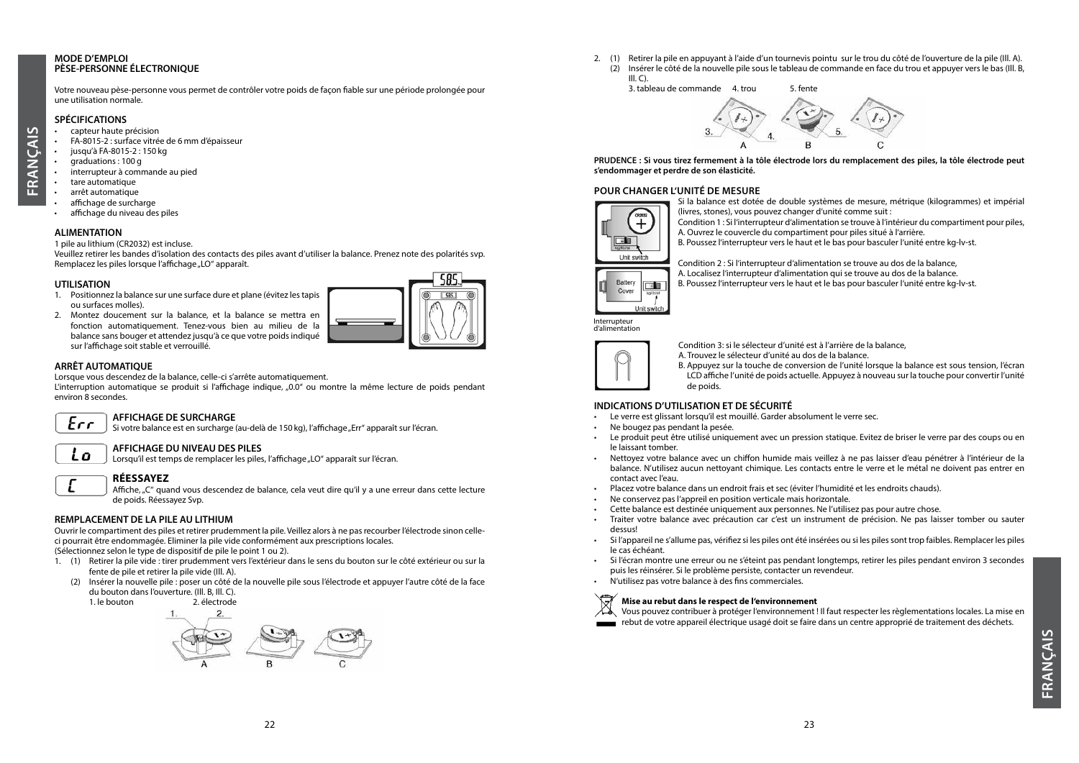#### **MODE D'EMPLOI PÈSE-PERSONNE ÉLECTRONIQUE**

Votre nouveau pèse-personne vous permet de contrôler votre poids de façon fiable sur une période prolongée pour une utilisation normale.

#### **SPÉCIFICATIONS**

- capteur haute précision
- FA-8015-2 : surface vitrée de 6 mm d'épaisseur
- jusqu'à FA-8015-2 : 150 kg
- graduations : 100 g

**FRANÇAIS**

- interrupteur à commande au pied
- tare automatique
- arrêt automatique
- affichage de surcharge
- affichage du niveau des piles

#### **ALIMENTATION**

1 pile au lithium (CR2032) est incluse.

Veuillez retirer les bandes d'isolation des contacts des piles avant d'utiliser la balance. Prenez note des polarités svp. Remplacez les piles lorsque l'affichage "LO" apparaît.

#### **UTILISATION**

- 1. Positionnez la balance sur une surface dure et plane (évitez les tapis ou surfaces molles).
- 2. Montez doucement sur la balance, et la balance se mettra en fonction automatiquement. Tenez-vous bien au milieu de la balance sans bouger et attendez jusqu'à ce que votre poids indiqué sur l'affichage soit stable et verrouillé.

#### **ARRÊT AUTOMATIQUE**

Lorsque vous descendez de la balance, celle-ci s'arrête automatiquement.

L'interruption automatique se produit si l'affichage indique' "0.0'' ou montre la même lecture de poids pendant environ 8 secondes.

## $F_{CC}$

#### **AFFICHAGE DE SURCHARGE**

Si votre balance est en surcharge (au-delà de 150 kg), l'affichage "Err" apparaît sur l'écran.

## Lo

**AFFICHAGE DU NIVEAU DES PILES** Lorsqu'il est temps de remplacer les piles, l'affichage "LO" apparaît sur l'écran.

#### **RÉESSAYEZ**

Affiche, "C" quand vous descendez de balance, cela veut dire qu'il y a une erreur dans cette lecture de poids. Réessayez Svp.

#### **REMPLACEMENT DE LA PILE AU LITHIUM**

Ouvrir le compartiment des piles et retirer prudemment la pile. Veillez alors à ne pas recourber l'électrode sinon celleci pourrait être endommagée. Eliminer la pile vide conformément aux prescriptions locales. (Sélectionnez selon le type de dispositif de pile le point 1 ou 2).

- 1. (1) Retirer la pile vide : tirer prudemment vers l'extérieur dans le sens du bouton sur le côté extérieur ou sur la fente de pile et retirer la pile vide (Ill. A).
- (2) Insérer la nouvelle pile : poser un côté de la nouvelle pile sous l'électrode et appuyer l'autre côté de la face du bouton dans l'ouverture. (Ill. B, Ill. C).

1. le bouton 2. électrode



2. (1) Retirer la pile en appuyant à l'aide d'un tournevis pointu sur le trou du côté de l'ouverture de la pile (Ill. A). (2) Insérer le côté de la nouvelle pile sous le tableau de commande en face du trou et appuyer vers le bas (Ill. B,  $III. C$ ).



**PRUDENCE : Si vous tirez fermement à la tôle électrode lors du remplacement des piles, la tôle électrode peut s'endommager et perdre de son élasticité.**

#### **POUR CHANGER L'UNITÉ DE MESURE**



Si la balance est dotée de double systèmes de mesure, métrique (kilogrammes) et impérial (livres, stones), vous pouvez changer d'unité comme suit :

Condition 1 : Si l'interrupteur d'alimentation se trouve à l'intérieur du compartiment pour piles, A. Ouvrez le couvercle du compartiment pour piles situé à l'arrière.

B. Poussez l'interrupteur vers le haut et le bas pour basculer l'unité entre kg-lv-st.

Condition 2 : Si l'interrupteur d'alimentation se trouve au dos de la balance, A. Localisez l'interrupteur d'alimentation qui se trouve au dos de la balance.

B. Poussez l'interrupteur vers le haut et le bas pour basculer l'unité entre kg-lv-st.

Interrupteur d'alimentation



Condition 3: si le sélecteur d'unité est à l'arrière de la balance,

A. Trouvez le sélecteur d'unité au dos de la balance.

B. Appuyez sur la touche de conversion de l'unité lorsque la balance est sous tension, l'écran LCD affiche l'unité de poids actuelle. Appuyez à nouveau sur la touche pour convertir l'unité de poids.

## **INDICATIONS D'UTILISATION ET DE SÉCURITÉ**

- Le verre est glissant lorsqu'il est mouillé. Garder absolument le verre sec.
- Ne bougez pas pendant la pesée.
- Le produit peut être utilisé uniquement avec un pression statique. Evitez de briser le verre par des coups ou en le laissant tomber.
- Nettoyez votre balance avec un chiffon humide mais veillez à ne pas laisser d'eau pénétrer à l'intérieur de la balance. N'utilisez aucun nettoyant chimique. Les contacts entre le verre et le métal ne doivent pas entrer en contact avec l'eau.
- Placez votre balance dans un endroit frais et sec (éviter l'humidité et les endroits chauds).
- Ne conservez pas l'appreil en position verticale mais horizontale.
- Cette balance est destinée uniquement aux personnes. Ne l'utilisez pas pour autre chose.
- Traiter votre balance avec précaution car c'est un instrument de précision. Ne pas laisser tomber ou sauter dessus!
- Si l'appareil ne s'allume pas, vérifiez si les piles ont été insérées ou si les piles sont trop faibles. Remplacer les piles le cas échéant.
- Si l'écran montre une erreur ou ne s'éteint pas pendant longtemps, retirer les piles pendant environ 3 secondes puis les réinsérer. Si le problème persiste, contacter un revendeur.
- N'utilisez pas votre balance à des fins commerciales.



#### **Mise au rebut dans le respect de l'environnement**

Vous pouvez contribuer à protéger l'environnement ! Il faut respecter les règlementations locales. La mise en rebut de votre appareil électrique usagé doit se faire dans un centre approprié de traitement des déchets.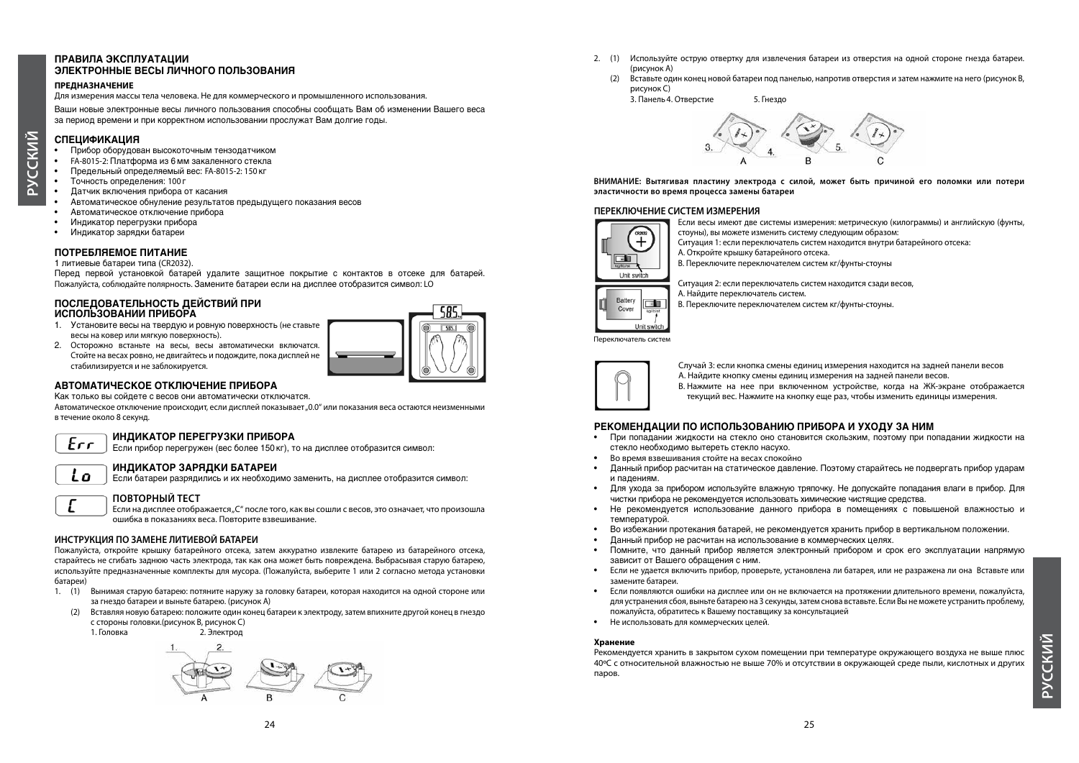#### **ПРАВИЛА ЭКСПЛУАТАЦИИ ЭЛЕКТРОННЫЕ ВЕСЫ ЛИЧНОГО ПОЛЬЗОВАНИЯ**

#### **ПРЕДНАЗНАЧЕНИЕ**

Для измерения массы тела человека. Не для коммерческого и промышленного использования.

Bauiu hobbie электронные весы личного пользования способны сообщать Вам об изменении Вашего веса за период времени и при корректном использовании прослужат Вам долгие годы.

#### **СПЕЦИФИКАЦИЯ**

**РУССКИЙ**

- Прибор оборудован высокоточным тензодатчиком
- **FA-8015-2: Платформа из 6 мм закаленного стекла**
- Предельный определяемый вес: FA-8015-2: 150 кг
- Точность определения: 100 г
- Датчик включения прибора от касания
- .<br>Автоматическое обнуление результатов предыдущего показания весов
- Aвтоматическое отключение прибора
- Индикатор перегрузки прибора
- Индикатор зарядки батареи

#### **POTPES DATALLE**

1 литиевые батареи типа (CR2032).

Перед первой установкой батарей удалите защитное покрытие с контактов в отсеке для батарей. Пожалуйста, соблюдайте полярность. Замените батареи если на дисплее отобразится символ: LO

#### ПОСЛЕДОВАТЕЛЬНОСТЬ ДЕЙСТВИЙ ПРИ ИСПОЛЬЗОВАНИИ ПРИБОРА

- 1. Установите весы на твердую и ровную поверхность (не ставьте весы на ковер или мягкую поверхность).
- 2. Осторожно встаньте на весы, весы автоматически включатся. Стойте на весах ровно, не двигайтесь и подождите, пока дисплей не стабилизируется и не заблокируется.



#### **АВТОМАТИЧЕСКОЕ ОТКЛЮЧЕНИЕ ПРИБОРА**

Как только вы сойдете с весов они автоматически отключатся.

Автоматическое отключение происходит, если дисплей показывает "0.0" или показания веса остаются неизменными в течение около 8 секунд.

## $Err$

#### **ИНДИКАТОР ПЕРЕГРУЗКИ ПРИБОРА** Если прибор перегружен (вес более 150 кг), то на дисплее отобразится символ:

#### **INDIKATOR ZARÄDKI BATAREI**

Если батареи разрядились и их необходимо заменить, на дисплее отобразится символ:



L o

#### **ПОВТОРНЫЙ ТЕСТ**

Если на дисплее отображается "С" после того, как вы сошли с весов, это означает, что произошла ошибка в показаниях веса. Повторите взвешивание.

#### **ИНСТРУКЦИЯ ПО ЗАМЕНЕ ЛИТИЕВОЙ БАТАРЕИ**

Пожалуйста, откройте крышку батарейного отсека, затем аккуратно извлеките батарею из батарейного отсека, старайтесь не сгибать заднюю часть электрода, так как она может быть повреждена. Выбрасывая старую батарею, используйте предназначенные комплекты для мусора. (Пожалуйста, выберите 1 или 2 согласно метода установки батареи)

- 1. (1) Вынимая старую батарею: потяните наружу за головку батареи, которая находится на одной стороне или за гнездо батареи и выньте батарею. (рисунок A)
	- (2) Вставляя новую батарею: положите один конец батареи к электроду, затем впихните другой конец в гнездо с стороны головки.(рисунок B, рисунок C)

1. Головка 2. Электрод



- 2. (1) Используйте острую отвертку для извлечения батареи из отверстия на одной стороне гнезда батареи. (рисунок A)
	- (2) Вставьте один конец новой батареи под панелью, напротив отверстия и затем нажмите на него (рисунок B, рисунок C)

3. Панель 4. Отверстие 5. Гнездо



**ВНИМАНИЕ: Вытягивая пластину электрода с силой, может быть причиной его поломки или потери эластичности во время процесса замены батареи**

#### **ПЕРЕКЛЮЧЕНИЕ СИСТЕМ ИЗМЕРЕНИЯ**



Если весы имеют две системы измерения: метрическую (килограммы) и английскую (фунты,

- стоуны), вы можете изменить систему следующим образом:
- Ситуация 1: если переключатель систем находится внутри батарейного отсека:

A. Откройте крышку батарейного отсека.

B. Переключите переключателем систем кг/фунты-стоуны

Ситуация 2: если переключатель систем находится сзади весов,

A. Найдите переключатель систем.

B. Переключите переключателем систем кг/фунты-стоуны.

Переключатель систем

Unit switch



Случай 3: если кнопка смены единиц измерения находится на задней панели весов A. Найдите кнопку смены единиц измерения на задней панели весов. B. Нажмите на нее при включенном устройстве, когда на ЖК-экране отображается текущий вес. Нажмите на кнопку еще раз, чтобы изменить единицы измерения.

#### РЕКОМЕНДАЦИИ ПО ИСПОЛЬЗОВАНИЮ ПРИБОРА И УХОДУ ЗА НИМ

- При попадании жидкости на стекло оно становится скользким, поэтому при попадании жидкости на  $c$ текло необходимо вытереть стекло насухо.
- Во время взвешивания стойте на весах спокойно
- Данный прибор расчитан на статическое давление. Поэтому старайтесь не подвергать прибор ударам и падениям.
- Для ухода за прибором используйте влажную тряпочку. Не допускайте попадания влаги в прибор. Для чистки прибора не рекомендуется использовать химические чистящие средства.
- Не рекомендуется использование данного прибора в помещениях с повышеной влажностью и температурой.
- Во избежании протекания батарей, не рекомендуется хранить прибор в вертикальном положении.
- Данный прибор не расчитан на использование в коммерческих целях.
- Помните, что данный прибор является электронный прибором и срок его эксплуатации напрямую зависит от Вашего обращения с ним.
- Если не удается включить прибор, проверьте, установлена ли батарея, или не разражена ли она Вставьте или замените батареи.
- Если появляются ошибки на дисплее или он не включается на протяжении длительного времени, пожалуйста, для устранения сбоя, выньте батарею на 3 секунды, затем снова вставьте. Если Вы не можете устранить проблему, пожалуйста, обратитесь к Вашему поставщику за консультацией
- Не использовать для коммерческих целей.

#### **Хранение**

Рекомендуется хранить в закрытом сухом помещении при температуре окружающего воздуха не выше плюс 40ºС с относительной влажностью не выше 70% и отсутствии в окружающей среде пыли, кислотных и других паров.

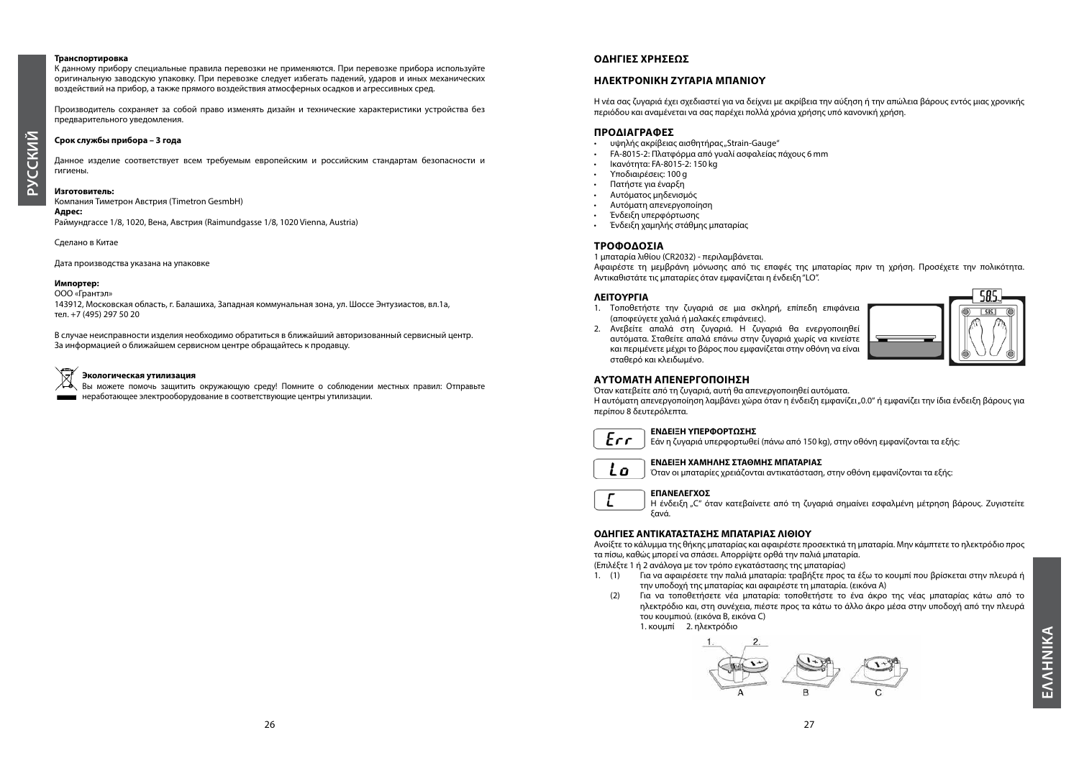#### **Транспортировка**

К данному прибору специальные правила перевозки не применяются. При перевозке прибора используйте оригинальную заводскую упаковку. При перевозке следует избегать падений, ударов и иных механических воздействий на прибор, а также прямого воздействия атмосферных осадков и агрессивных сред.

Производитель сохраняет за собой право изменять дизайн и технические характеристики устройства без предварительного уведомления.

#### **Срок службы прибора – 3 года**

**РУССКИЙ**

Данное изделие соответствует всем требуемым европейским и российским стандартам безопасности и гигиены.

#### **Изготовитель:**

Компания Тиметрон Австрия (Timetron GesmbH)

**Адрес:**  Раймундгассе 1/8, 1020, Вена, Австрия (Raimundgasse 1/8, 1020 Vienna, Austria)

Сделано в Китае

Дата производства указана на упаковке

#### **Импортер:**

ООО «Грантэл»

143912, Московская область, г. Балашиха, Западная коммунальная зона, ул. Шоссе Энтузиастов, вл.1а, тел. +7 (495) 297 50 20

В случае неисправности изделия необходимо обратиться в ближайший авторизованный сервисный центр. За информацией о ближайшем сервисном центре обращайтесь к продавцу.

#### **Экологическая утилизация**

Вы можете помочь защитить окружающую среду! Помните о соблюдении местных правил: Отправьте неработающее электрооборудование в соответствующие центры утилизации.

#### **ΟΔΗΓΙΕΣ ΧΡΗΣΕΩΣ**

#### **ΗΛΕΚΤΡΟΝΙΚΗ ΖΥΓΑΡΙΑ ΜΠΑΝΙΟΥ**

Η νέα σας ζυγαριά έχει σχεδιαστεί για να δείχνει με ακρίβεια την αύξηση ή την απώλεια βάρους εντός μιας χρονικής περιόδου και αναμένεται να σας παρέχει πολλά χρόνια χρήσης υπό κανονική χρήση.

#### **ΠΡΟΔΙΑΓΡΑΦΕΣ**

- υψηλής ακρίβειας αισθητήρας "Strain-Gauge"
- FA-8015-2: Πλατφόρμα από γυαλί ασφαλείας πάχους 6 mm
- Ικανότητα: FA-8015-2: 150 kg
- Υποδιαιρέσεις: 100 g
- Πατήστε για έναρξη
- Αυτόματος μηδενισμός
- Αυτόματη απενεργοποίηση
- Ένδειξη υπερφόρτωσης
- Ένδειξη χαμηλής στάθμης μπαταρίας

#### **ΤΡΟΦΟΔΟΣΙΑ**

1 μπαταρία λιθίου (CR2032) - περιλαμβάνεται. Αφαιρέστε τη μεμβράνη μόνωσης από τις επαφές της μπαταρίας πριν τη χρήση. Προσέχετε την πολικότητα. Αντικαθιστάτε τις μπαταρίες όταν εμφανίζεται η ένδειξη "LO".

#### **ΛΕΙΤΟΥΡΓΙΑ**

1. Τοποθετήστε την ζυγαριά σε μια σκληρή, επίπεδη επιφάνεια (αποφεύγετε χαλιά ή μαλακές επιφάνειες). 2. Ανεβείτε απαλά στη ζυγαριά. Η ζυγαριά θα ενεργοποιηθεί

και περιμένετε μέχρι το βάρος που εμφανίζεται στην οθόνη να είναι



#### **ΑΥΤΟΜΑΤΗ ΑΠΕΝΕΡΓΟΠΟΙΗΣΗ**

σταθερό και κλειδωμένο.

Όταν κατεβείτε από τη ζυγαριά, αυτή θα απενεργοποιηθεί αυτόματα.

Η αυτόματη απενεργοποίηση λαμβάνει χώρα όταν η ένδειξη εμφανίζει "0.0" ή εμφανίζει την ίδια ένδειξη βάρους για περίπου 8 δευτερόλεπτα.

## $Err$

**ΕΝΔΕΙΞΗ ΥΠΕΡΦΟΡΤΩΣΗΣ** Εάν η ζυγαριά υπερφορτωθεί (πάνω από 150 kg), στην οθόνη εμφανίζονται τα εξής:



#### **ΕΝΔΕΙΞΗ ΧΑΜΗΛΗΣ ΣΤΑΘΜΗΣ ΜΠΑΤΑΡΙΑΣ**

Όταν οι μπαταρίες χρειάζονται αντικατάσταση, στην οθόνη εμφανίζονται τα εξής:



#### **ΕΠΑΝΕΛΕΓΧΟΣ**

Η ένδειξη "C" όταν κατεβαίνετε από τη ζυγαριά σημαίνει εσφαλμένη μέτρηση βάρους. Ζυγιστείτε ξανά.

#### **ΟΔΗΓΙΕΣ ΑΝΤΙΚΑΤΑΣΤΑΣΗΣ ΜΠΑΤΑΡΙΑΣ ΛΙΘΙΟΥ**

Ανοίξτε το κάλυμμα της θήκης μπαταρίας και αφαιρέστε προσεκτικά τη μπαταρία. Μην κάμπτετε το ηλεκτρόδιο προς τα πίσω, καθώς μπορεί να σπάσει. Απορρίψτε ορθά την παλιά μπαταρία.

(Επιλέξτε 1 ή 2 ανάλογα με τον τρόπο εγκατάστασης της μπαταρίας)

- 1. (1) Για να αφαιρέσετε την παλιά μπαταρία: τραβήξτε προς τα έξω το κουμπί που βρίσκεται στην πλευρά ή την υποδοχή της μπαταρίας και αφαιρέστε τη μπαταρία. (εικόνα A)
- (2) Για να τοποθετήσετε νέα μπαταρία: τοποθετήστε το ένα άκρο της νέας μπαταρίας κάτω από το ηλεκτρόδιο και, στη συνέχεια, πιέστε προς τα κάτω το άλλο άκρο μέσα στην υποδοχή από την πλευρά του κουμπιού. (εικόνα B, εικόνα C) 1. κουμπί 2. ηλεκτρόδιο

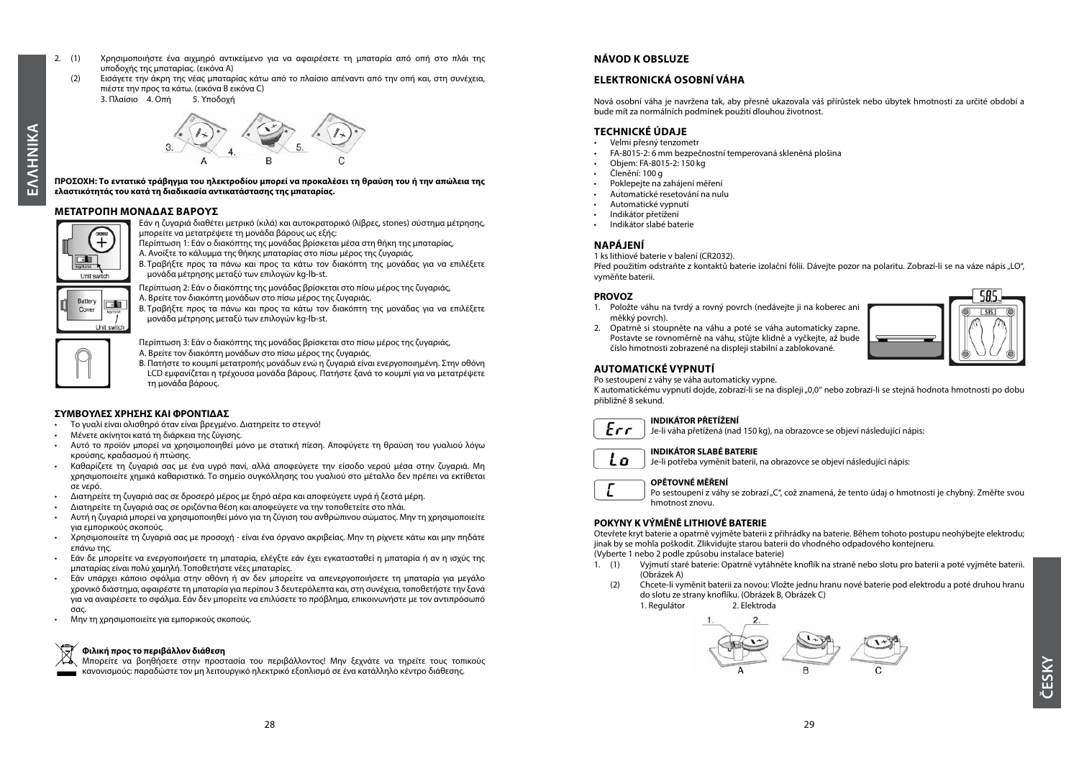- EMNHNIKA **ΕΛΛΗΝΙΚΑ**
- πιέστε την προς τα κάτω. (εικόνα B εικόνα C) 3. Πλαίσιο 4. Οπή

**ΠΡΟΣΟΧΗ: Το εντατικό τράβηγμα του ηλεκτροδίου μπορεί να προκαλέσει τη θραύση του ή την απώλεια της ελαστικότητάς του κατά τη διαδικασία αντικατάστασης της μπαταρίας.**

2. (1) Χρησιμοποιήστε ένα αιχμηρό αντικείμενο για να αφαιρέσετε τη μπαταρία από οπή στο πλάι της

(2) Εισάγετε την άκρη της νέας μπαταρίας κάτω από το πλαίσιο απέναντι από την οπή και, στη συνέχεια,

#### **ΜΕΤΑΤΡΟΠΗ ΜΟΝΑΔΑΣ ΒΑΡΟΥΣ**

υποδοχής της μπαταρίας. (εικόνα A)



Εάν η ζυγαριά διαθέτει μετρικό (κιλά) και αυτοκρατορικό (λίβρες, stones) σύστημα μέτρησης, μπορείτε να μετατρέψετε τη μονάδα βάρους ως εξής:

Περίπτωση 1: Εάν ο διακόπτης της μονάδας βρίσκεται μέσα στη θήκη της μπαταρίας,

A. Ανοίξτε το κάλυμμα της θήκης μπαταρίας στο πίσω μέρος της ζυγαριάς.

B. Τραβήξτε προς τα πάνω και προς τα κάτω τον διακόπτη της μονάδας για να επιλέξετε μονάδα μέτρησης μεταξύ των επιλογών kg-lb-st.

Περίπτωση 2: Εάν ο διακόπτης της μονάδας βρίσκεται στο πίσω μέρος της ζυγαριάς,

A. Βρείτε τον διακόπτη μονάδων στο πίσω μέρος της ζυγαριάς.

B. Τραβήξτε προς τα πάνω και προς τα κάτω τον διακόπτη της μονάδας για να επιλέξετε μονάδα μέτρησης μεταξύ των επιλογών kg-lb-st.

Rattery

Cover

T.

Hoit ewitch

Περίπτωση 3: Εάν ο διακόπτης της μονάδας βρίσκεται στο πίσω μέρος της ζυγαριάς, A. Βρείτε τον διακόπτη μονάδων στο πίσω μέρος της ζυγαριάς.

B. Πατήστε το κουμπί μετατροπής μονάδων ενώ η ζυγαριά είναι ενεργοποιημένη. Στην οθόνη LCD εμφανίζεται η τρέχουσα μονάδα βάρους. Πατήστε ξανά το κουμπί για να μετατρέψετε τη μονάδα βάρους.

#### **ΣΥΜΒΟΥΛΕΣ ΧΡΗΣΗΣ ΚΑΙ ΦΡΟΝΤΙΔΑΣ**

- Το γυαλί είναι ολισθηρό όταν είναι βρεγμένο. Διατηρείτε το στεγνό!
- Μένετε ακίνητοι κατά τη διάρκεια της ζύγισης.
- Αυτό το προϊόν μπορεί να χρησιμοποιηθεί μόνο με στατική πίεση. Αποφύγετε τη θραύση του γυαλιού λόγω κρούσης, κραδασμού ή πτώσης.
- Καθαρίζετε τη ζυγαριά σας με ένα υγρό πανί, αλλά αποφεύγετε την είσοδο νερού μέσα στην ζυγαριά. Μη χρησιμοποιείτε χημικά καθαριστικά. Το σημείο συγκόλλησης του γυαλιού στο μέταλλο δεν πρέπει να εκτίθεται σε νερό.
- Διατηρείτε τη ζυγαριά σας σε δροσερό μέρος με ξηρό αέρα και αποφεύγετε υγρά ή ζεστά μέρη.
- Διατηρείτε τη ζυγαριά σας σε οριζόντια θέση και αποφεύγετε να την τοποθετείτε στο πλάι.
- Αυτή η ζυγαριά μπορεί να χρησιμοποιηθεί μόνο για τη ζύγιση του ανθρώπινου σώματος. Μην τη χρησιμοποιείτε για εμπορικούς σκοπούς.
- Χρησιμοποιείτε τη ζυγαριά σας με προσοχή είναι ένα όργανο ακριβείας. Μην τη ρίχνετε κάτω και μην πηδάτε επάνω της.
- Εάν δε μπορείτε να ενεργοποιήσετε τη μπαταρία, ελέγξτε εάν έχει εγκατασταθεί η μπαταρία ή αν η ισχύς της μπαταρίας είναι πολύ χαμηλή. Τοποθετήστε νέες μπαταρίες.
- Εάν υπάρχει κάποιο σφάλμα στην οθόνη ή αν δεν μπορείτε να απενεργοποιήσετε τη μπαταρία για μεγάλο χρονικό διάστημα, αφαιρέστε τη μπαταρία για περίπου 3 δευτερόλεπτα και, στη συνέχεια, τοποθετήστε την ξανά για να αναιρέσετε το σφάλμα. Εάν δεν μπορείτε να επιλύσετε το πρόβλημα, επικοινωνήστε με τον αντιπρόσωπό σας.
- Μην τη χρησιμοποιείτε για εμπορικούς σκοπούς.

#### **Φιλική προς το περιβάλλον διάθεση**

Μπορείτε να βοηθήσετε στην προστασία του περιβάλλοντος! Μην ξεχνάτε να τηρείτε τους τοπικούς κανονισμούς: παραδώστε τον μη λειτουργικό ηλεκτρικό εξοπλισμό σε ένα κατάλληλο κέντρο διάθεσης.

#### **NÁVOD K OBSLUZE**

#### **ELEKTRONICKÁ OSOBNÍ VÁHA**

Nová osobní váha je navržena tak, aby přesně ukazovala váš přírůstek nebo úbytek hmotnosti za určité období a bude mít za normálních podmínek použití dlouhou životnost.

#### **TECHNICKÉ ÚDAJE**

- Velmi přesný tenzometr
- FA-8015-2: 6 mm bezpečnostní temperovaná skleněná plošina
- Objem: FA-8015-2: 150 kg
- Členění: 100 g
- Poklepejte na zahájení měření
- Automatické resetování na nulu
- Automatické vypnutí
- Indikátor přetížení
- Indikátor slabé baterie

#### **NAPÁJENÍ**

1 ks lithiové baterie v balení (CR2032).

Před použitím odstraňte z kontaktů baterie izolační fólii. Dávejte pozor na polaritu. Zobrazí-li se na váze nápis "LO", vyměňte baterii.

#### **PROVOZ**

 $Ecr$ 

Lo

 $\mathcal{L}$ 

1. Položte váhu na tvrdý a rovný povrch (nedávejte ji na koberec ani měkký povrch). 2. Opatrně si stoupněte na váhu a poté se váha automaticky zapne.



Postavte se rovnoměrně na váhu, stůjte klidně a vyčkejte, až bude číslo hmotnosti zobrazené na displeji stabilní a zablokované.

#### **AUTOMATICKÉ VYPNUTÍ**

Po sestoupení z váhy se váha automaticky vypne.

K automatickému vypnutí dojde, zobrazí-li se na displeji "0,0" nebo zobrazí-li se stejná hodnota hmotnosti po dobu přibližně 8 sekund.

#### **INDIKÁTOR PŘETÍŽENÍ**

Je-li váha přetížená (nad 150 kg), na obrazovce se objeví následující nápis:

#### **INDIKÁTOR SLABÉ BATERIE**

Je-li potřeba vyměnit baterii, na obrazovce se objeví následující nápis:

#### **OPĚTOVNÉ MĚŘENÍ**

Po sestoupení z váhy se zobrazí "C", což znamená, že tento údaj o hmotnosti je chybný. Změřte svou hmotnost znovu.

#### **POKYNY K VÝMĚNĚ LITHIOVÉ BATERIE**

Otevřete kryt baterie a opatrně vyjměte baterii z přihrádky na baterie. Během tohoto postupu neohýbejte elektrodu; jinak by se mohla poškodit. Zlikvidujte starou baterii do vhodného odpadového kontejneru.

(Vyberte 1 nebo 2 podle způsobu instalace baterie)

- 1. (1) Vyjmutí staré baterie: Opatrně vytáhněte knoflík na straně nebo slotu pro baterii a poté vyjměte baterii. (Obrázek A)
	- (2) Chcete-li vyměnit baterii za novou: Vložte jednu hranu nové baterie pod elektrodu a poté druhou hranu do slotu ze strany knoflíku. (Obrázek B, Obrázek C) 1. Regulátor

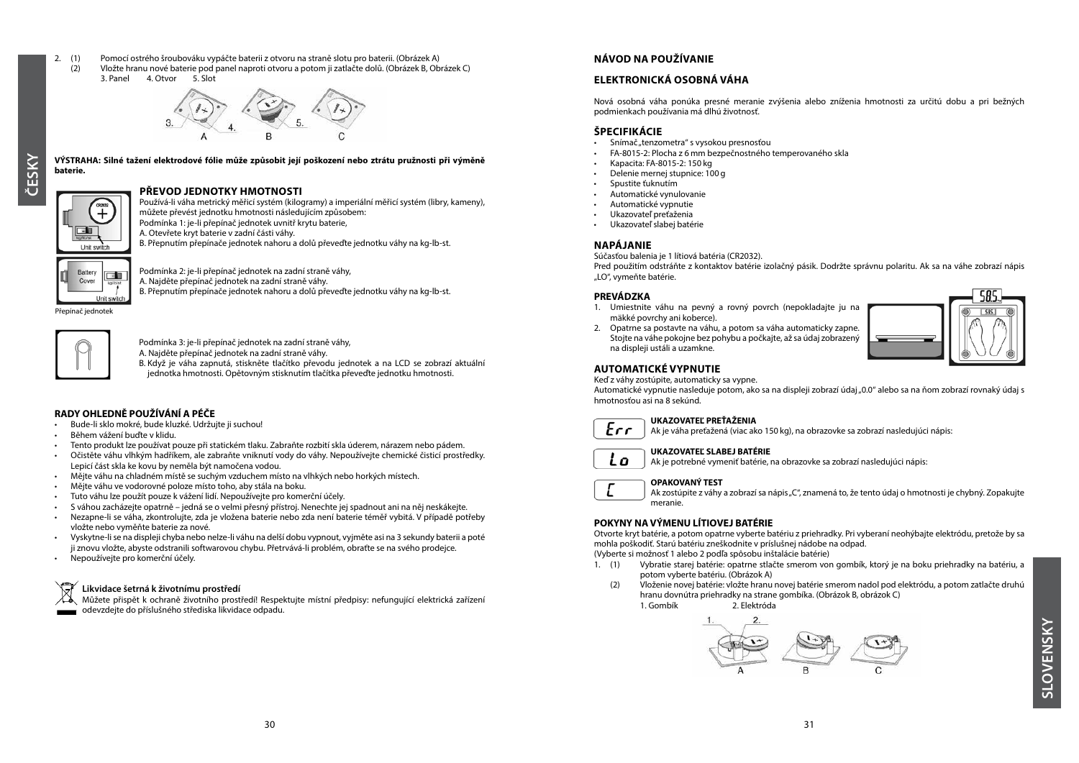- 
- 2. (1) Pomocí ostrého šroubováku vypáčte baterii z otvoru na straně slotu pro baterii. (Obrázek A)
	- Vložte hranu nové baterie pod panel naproti otvoru a potom ji zatlačte dolů. (Obrázek B, Obrázek C)<br>3. Panel 4. Otvor 5. Slot 4. Otvor 5. Slot



#### **PŘEVOD JEDNOTKY HMOTNOSTI**

oras<br>+ ा Unit switch

**baterie.**

Používá-li váha metrický měřicí systém (kilogramy) a imperiální měřicí systém (libry, kameny),

můžete převést jednotku hmotnosti následujícím způsobem:

**VÝSTRAHA: Silné tažení elektrodové fólie může způsobit její poškození nebo ztrátu pružnosti při výměně** 

Podmínka 1: je-li přepínač jednotek uvnitř krytu baterie,

A. Otevřete kryt baterie v zadní části váhy.

B. Přepnutím přepínače jednotek nahoru a dolů převeďte jednotku váhy na kg-lb-st.

Podmínka 2: je-li přepínač jednotek na zadní straně váhy, Battery ना Cover

A. Najděte přepínač jednotek na zadní straně váhy.

B. Přepnutím přepínače jednotek nahoru a dolů převeďte jednotku váhy na kg-lb-st.

Přepínač jednotek

Unit switch



Podmínka 3: je-li přepínač jednotek na zadní straně váhy,

A. Najděte přepínač jednotek na zadní straně váhy.

B. Když je váha zapnutá, stiskněte tlačítko převodu jednotek a na LCD se zobrazí aktuální jednotka hmotnosti. Opětovným stisknutím tlačítka převeďte jednotku hmotnosti.

#### **RADY OHLEDNĚ POUŽÍVÁNÍ A PÉČE**

- Bude-li sklo mokré, bude kluzké. Udržujte ji suchou!
- Během vážení buďte v klidu.
- Tento produkt lze používat pouze při statickém tlaku. Zabraňte rozbití skla úderem, nárazem nebo pádem.
- Očistěte váhu vlhkým hadříkem, ale zabraňte vniknutí vody do váhy. Nepoužívejte chemické čisticí prostředky. Lepicí část skla ke kovu by neměla být namočena vodou.
- Mějte váhu na chladném místě se suchým vzduchem místo na vlhkých nebo horkých místech.
- Mějte váhu ve vodorovné poloze místo toho, aby stála na boku.
- Tuto váhu lze použít pouze k vážení lidí. Nepoužívejte pro komerční účely.
- S váhou zacházejte opatrně jedná se o velmi přesný přístroj. Nenechte jej spadnout ani na něj neskákejte.
- Nezapne-li se váha, zkontrolujte, zda je vložena baterie nebo zda není baterie téměř vybitá. V případě potřeby vložte nebo vyměňte baterie za nové.
- Vyskytne-li se na displeji chyba nebo nelze-li váhu na delší dobu vypnout, vyjměte asi na 3 sekundy baterii a poté ji znovu vložte, abyste odstranili softwarovou chybu. Přetrvává-li problém, obraťte se na svého prodejce.
- Nepoužívejte pro komerční účely.

#### **Likvidace šetrná k životnímu prostředí**

Můžete přispět k ochraně životního prostředí! Respektujte místní předpisy: nefungující elektrická zařízení odevzdejte do příslušného střediska likvidace odpadu.

#### **NÁVOD NA POUŽÍVANIE**

#### **ELEKTRONICKÁ OSOBNÁ VÁHA**

Nová osobná váha ponúka presné meranie zvýšenia alebo zníženia hmotnosti za určitú dobu a pri bežných podmienkach používania má dlhú životnosť.

#### **ŠPECIFIKÁCIE**

- Snímač "tenzometra" s vysokou presnosťou
- FA-8015-2: Plocha z 6 mm bezpečnostného temperovaného skla
- Kapacita: FA-8015-2: 150 kg
- Delenie mernej stupnice: 100 g
- Spustite ťuknutím
- Automatické vynulovanie
- Automatické vypnutie
- Ukazovateľ preťaženia
- Ukazovateľ slabej batérie

#### **NAPÁJANIE**

Súčasťou balenia je 1 lítiová batéria (CR2032).

Pred použitím odstráňte z kontaktov batérie izolačný pásik. Dodržte správnu polaritu. Ak sa na váhe zobrazí nápis "LO", vymeňte batérie.

#### **PREVÁDZKA**

1. Umiestnite váhu na pevný a rovný povrch (nepokladajte ju na mäkké povrchy ani koberce).





#### **AUTOMATICKÉ VYPNUTIE**

Keď z váhy zostúpite, automaticky sa vypne.

Automatické vypnutie nasleduje potom, ako sa na displeji zobrazí údaj "0.0" alebo sa na ňom zobrazí rovnaký údaj s hmotnosťou asi na 8 sekúnd.



#### **UKAZOVATEĽ PREŤAŽENIA**

Ak je váha preťažená (viac ako 150 kg), na obrazovke sa zobrazí nasledujúci nápis:



E

#### **UKAZOVATEĽ SLABEJ BATÉRIE**

Ak je potrebné vymeniť batérie, na obrazovke sa zobrazí nasledujúci nápis:

#### **OPAKOVANÝ TEST**

Ak zostúpite z váhy a zobrazí sa nápis "C", znamená to, že tento údaj o hmotnosti je chybný. Zopakujte meranie.

#### **POKYNY NA VÝMENU LÍTIOVEJ BATÉRIE**

Otvorte kryt batérie, a potom opatrne vyberte batériu z priehradky. Pri vyberaní neohýbajte elektródu, pretože by sa mohla poškodiť. Starú batériu zneškodnite v príslušnej nádobe na odpad.

(Vyberte si možnosť 1 alebo 2 podľa spôsobu inštalácie batérie)

- 1. (1) Vybratie starej batérie: opatrne stlačte smerom von gombík, ktorý je na boku priehradky na batériu, a potom vyberte batériu. (Obrázok A)
- (2) Vloženie novej batérie: vložte hranu novej batérie smerom nadol pod elektródu, a potom zatlačte druhú hranu dovnútra priehradky na strane gombíka. (Obrázok B, obrázok C) 2. Elektróda

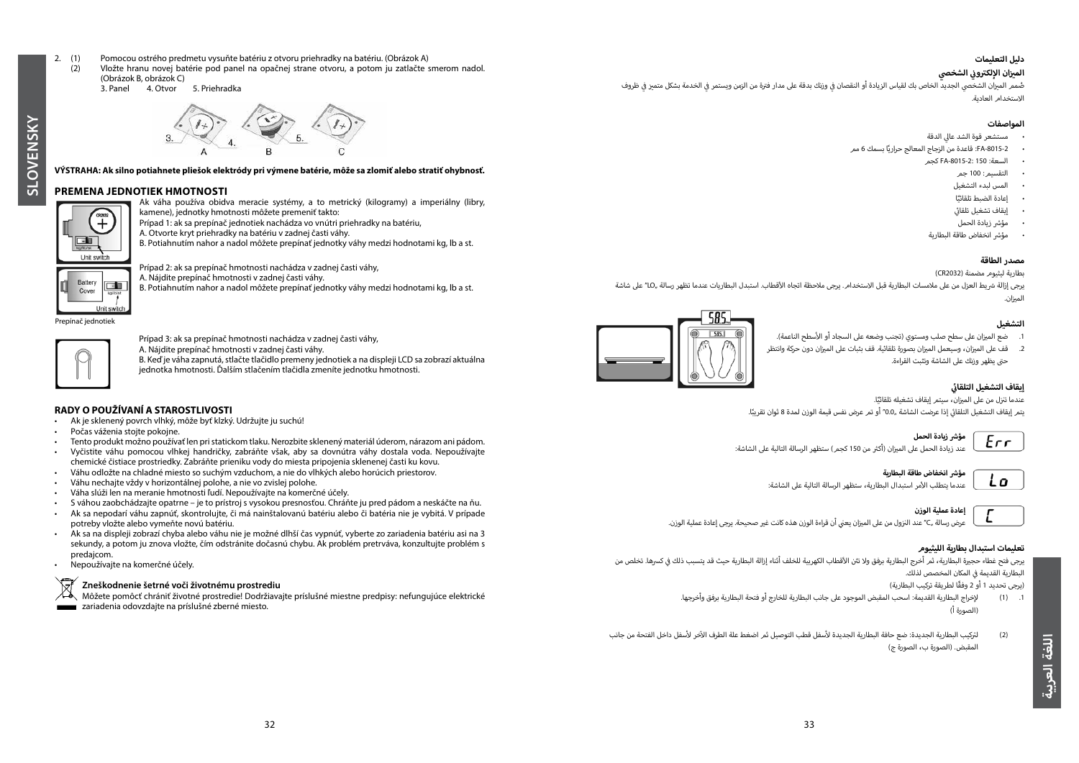- 2. (1) Pomocou ostrého predmetu vysuňte batériu z otvoru priehradky na batériu. (Obrázok A)<br>(2) Vložte branu novej batérie pod panel na opačnej strane otvoru, a potom ju zatlačte s
	- (2) Vložte hranu novej batérie pod panel na opačnej strane otvoru, a potom ju zatlačte smerom nadol.

#### (Obrázok B, obrázok C) 5. Priehradka



#### **VÝSTRAHA: Ak silno potiahnete pliešok elektródy pri výmene batérie, môže sa zlomiť alebo stratiť ohybnosť.**

#### **PREMENA JEDNOTIEK HMOTNOSTI**



**SLOVENSKY**

SLOVENSKY

Ak váha používa obidva meracie systémy, a to metrický (kilogramy) a imperiálny (libry, kamene), jednotky hmotnosti môžete premeniť takto: Prípad 1: ak sa prepínač jednotiek nachádza vo vnútri priehradky na batériu,

- A. Otvorte kryt priehradky na batériu v zadnej časti váhy.
- B. Potiahnutím nahor a nadol môžete prepínať jednotky váhy medzi hodnotami kg, lb a st.



#### Prípad 2: ak sa prepínač hmotnosti nachádza v zadnej časti váhy,

A. Nájdite prepínač hmotnosti v zadnej časti váhy.

B. Potiahnutím nahor a nadol môžete prepínať jednotky váhy medzi hodnotami kg, lb a st.

Prepínač jednotiek



Prípad 3: ak sa prepínač hmotnosti nachádza v zadnej časti váhy,

A. Nájdite prepínač hmotnosti v zadnej časti váhy. B. Keď je váha zapnutá, stlačte tlačidlo premeny jednotiek a na displeji LCD sa zobrazí aktuálna jednotka hmotnosti. Ďalším stlačením tlačidla zmeníte jednotku hmotnosti.

#### **RADY O POUŽÍVANÍ A STAROSTLIVOSTI**

- Ak je sklenený povrch vlhký, môže byť klzký. Udržujte ju suchú!<br>• Počas váženia stojte pokojne
- Počas váženia stojte pokojne.
- Tento produkt možno používať len pri statickom tlaku. Nerozbite sklenený materiál úderom, nárazom ani pádom.
- Vyčistite váhu pomocou vlhkej handričky, zabráňte však, aby sa dovnútra váhy dostala voda. Nepoužívajte chemické čistiace prostriedky. Zabráňte prieniku vody do miesta pripojenia sklenenej časti ku kovu.
- Váhu odložte na chladné miesto so suchým vzduchom, a nie do vlhkých alebo horúcich priestorov. • Váhu nechajte vždy v horizontálnej polohe, a nie vo zvislej polohe.
- Váha slúži len na meranie hmotnosti ľudí. Nepoužívajte na komerčné účely.
- S váhou zaobchádzajte opatrne je to prístroj s vysokou presnosťou. Chráňte ju pred pádom a neskáčte na ňu.
- Ak sa nepodarí váhu zapnúť, skontrolujte, či má nainštalovanú batériu alebo či batéria nie je vybitá. V prípade potreby vložte alebo vymeňte novú batériu.
- Ak sa na displeji zobrazí chyba alebo váhu nie je možné dlhší čas vypnúť, vyberte zo zariadenia batériu asi na 3 sekundy, a potom ju znova vložte, čím odstránite dočasnú chybu. Ak problém pretrváva, konzultujte problém s predajcom.
- Nepoužívajte na komerčné účely.

#### **Zneškodnenie šetrné voči životnému prostrediu**

Môžete pomôcť chrániť životné prostredie! Dodržiavajte príslušné miestne predpisy: nefungujúce elektrické zariadenia odovzdajte na príslušné zberné miesto.

#### **دليل التعليمات**

#### **الشخص ي ي ز إ ان اللك� ت و� ن**

**الميزان الإلكتروني الشخصي**<br>صُمم الميزان الشخصي الجديد الخاص بك لقياس الزيادة أو النقصان في وزنك بدقة على مدار فترة من الزمن ويستمر في الخدمة بشكل متميز في ظروف ف ف ف ي االستخدام العادية.

#### **المواصفات**

- ي مستشعر قوة الشد عال الدقة
- ًا بسمك 6 مم -8015-2FA: قاعدة من الزجاج المعالج حراري
	- السعة: 150 -8015-2:FA كجم
		- التقسيم: 100 جم
	- المس لبدء التشغيل
		- ًا • إعادة الضبط تلقائي
	- ي ئ إيقاف تشغيل تلقائي
	- مؤش زيادة الحمل
	- ش مؤ� انخفاض طاقة البطارية

#### **مصدر الطاقة**

بطارية ليثيوم مضمنة (CR2032)

.<br>يرجى إزالة شريط العزل من على ملامسات البطارية قبل الاستخدام. يرجى ملاحظة اتجاه الأقطاب. استبدل البطاريات عندما تظهر رسالة "10" على شاشة الميزان.

#### **التشغيل**





عندما تنزل من على الميزان، سيتمر إيقاف تشغيله تلقائيًّا. يتم إيقاف التشغيل التلقائي إذا عرضت الشاشة "0.0″ أو تمر عرض نفس قيمة الوزن لمدة 8 ثوان تقريبًا. ئ



عند زيادة الحمل على الميزان (أكثر من 150 كجمر) ستظهر الرسالة التالية على الشاشة:



#### **ش مؤ� انخفاض طاقة البطارية**

لأمر استبدال البطارية، ستظهر الرسالة التالية عىل الشاشة: عندما يتطلب ا



عرض رسالة "C" عند النزول من على الميزان يعني أن قراءة الوزن هذه كانت غير صحيحة. يرجى إعادة عملية الوزن.

#### **تعليمات استبدال بطارية الليثيوم**

.<br>يرجى فتح غطاء حجيرة البطارية، ثمر أخرج البطارية برفق ولا تثن الأقطاب الكهربية للخلف أثناء إزالة البطارية حيث قد يتسبب ذلك في كسرها. تخلص من ف البطارية القديمة في المكان المخصص لذلك.<br>-ف

ً )يرجى تحديد 1 أو 2 وفقا لطريقة تركيب البطارية(

- .1 )1( إ لخراج البطارية القديمة: اسحب المقبض الموجود عىل جانب البطارية للخارج أو فتحة البطارية برفق وأخرجها. )الصورة أ(
- لأسفل داخل الفتحة من جانب آخر لأسفل قطب التوصيل ثم اضغط علة الطرف ال )2( ل� ت كيب البطارية الجديدة: ضع حافة البطارية الجديدة المقبض. )الصورة ب، الصورة ج(